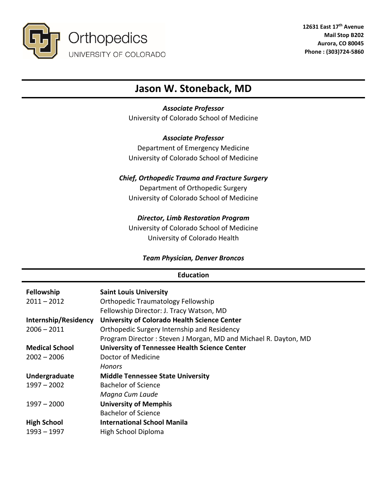

# **Jason W. Stoneback, MD**

# *Associate Professor*

University of Colorado School of Medicine

# *Associate Professor*

Department of Emergency Medicine University of Colorado School of Medicine

# *Chief, Orthopedic Trauma and Fracture Surgery*

Department of Orthopedic Surgery University of Colorado School of Medicine

# *Director, Limb Restoration Program*

University of Colorado School of Medicine University of Colorado Health

# *Team Physician, Denver Broncos*

# **Education**

| Fellowship<br>$2011 - 2012$            | <b>Saint Louis University</b><br><b>Orthopedic Traumatology Fellowship</b>                                     |
|----------------------------------------|----------------------------------------------------------------------------------------------------------------|
| Internship/Residency                   | Fellowship Director: J. Tracy Watson, MD<br><b>University of Colorado Health Science Center</b>                |
| $2006 - 2011$                          | Orthopedic Surgery Internship and Residency<br>Program Director: Steven J Morgan, MD and Michael R. Dayton, MD |
| <b>Medical School</b><br>$2002 - 2006$ | <b>University of Tennessee Health Science Center</b><br>Doctor of Medicine                                     |
|                                        | <b>Honors</b>                                                                                                  |
| Undergraduate                          | <b>Middle Tennessee State University</b>                                                                       |
| $1997 - 2002$                          | <b>Bachelor of Science</b>                                                                                     |
|                                        | Magna Cum Laude                                                                                                |
| $1997 - 2000$                          | <b>University of Memphis</b>                                                                                   |
|                                        | <b>Bachelor of Science</b>                                                                                     |
| <b>High School</b>                     | <b>International School Manila</b>                                                                             |
| $1993 - 1997$                          | High School Diploma                                                                                            |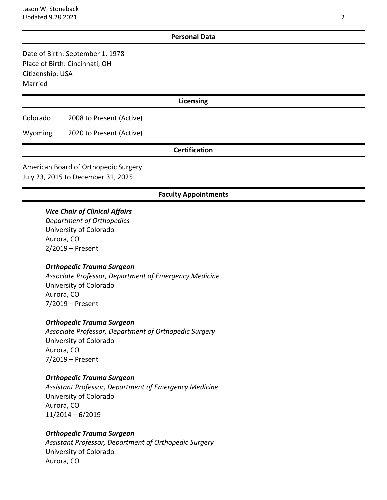#### **Personal Data**

Date of Birth: September 1, 1978 Place of Birth: Cincinnati, OH Citizenship: USA Married

#### **Licensing**

Colorado 2008 to Present (Active)

Wyoming 2020 to Present (Active)

## **Certification**

American Board of Orthopedic Surgery July 23, 2015 to December 31, 2025

#### **Faculty Appointments**

## *Vice Chair of Clinical Affairs*

*Department of Orthopedics* University of Colorado Aurora, CO 2/2019 – Present

#### *Orthopedic Trauma Surgeon*

*Associate Professor, Department of Emergency Medicine* University of Colorado Aurora, CO 7/2019 – Present

#### *Orthopedic Trauma Surgeon*

*Associate Professor, Department of Orthopedic Surgery* University of Colorado Aurora, CO 7/2019 – Present

#### *Orthopedic Trauma Surgeon*

*Assistant Professor, Department of Emergency Medicine* University of Colorado Aurora, CO 11/2014 – 6/2019

#### *Orthopedic Trauma Surgeon*

*Assistant Professor, Department of Orthopedic Surgery* University of Colorado Aurora, CO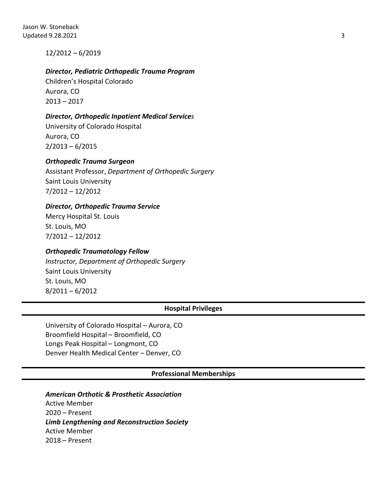12/2012 – 6/2019

## *Director, Pediatric Orthopedic Trauma Program*

Children's Hospital Colorado Aurora, CO 2013 – 2017

## *Director, Orthopedic Inpatient Medical Services*

University of Colorado Hospital Aurora, CO 2/2013 – 6/2015

## *Orthopedic Trauma Surgeon*

Assistant Professor, *Department of Orthopedic Surgery* Saint Louis University 7/2012 – 12/2012

## *Director, Orthopedic Trauma Service*

Mercy Hospital St. Louis St. Louis, MO 7/2012 – 12/2012

### *Orthopedic Traumatology Fellow*

*Instructor, Department of Orthopedic Surgery* Saint Louis University St. Louis, MO 8/2011 – 6/2012

### **Hospital Privileges**

University of Colorado Hospital – Aurora, CO Broomfield Hospital – Broomfield, CO Longs Peak Hospital – Longmont, CO Denver Health Medical Center – Denver, CO

**Professional Memberships**

# *American Orthotic & Prosthetic Association*

Active Member 2020 – Present *Limb Lengthening and Reconstruction Society* Active Member 2018 – Present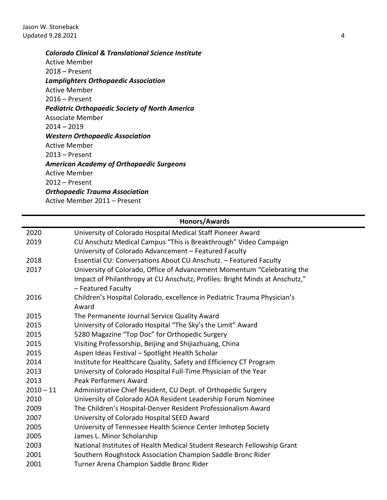Jason W. Stoneback Updated 9.28.2021 4

*Colorado Clinical & Translational Science Institute*

Active Member 2018 – Present *Lamplighters Orthopaedic Association* Active Member 2016 – Present *Pediatric Orthopaedic Society of North America* Associate Member 2014 – 2019 *Western Orthopaedic Association* Active Member 2013 – Present *American Academy of Orthopaedic Surgeons* Active Member 2012 – Present *Orthopaedic Trauma Association* Active Member 2011 – Present

|             | <b>Honors/Awards</b>                                                                              |
|-------------|---------------------------------------------------------------------------------------------------|
| 2020        | University of Colorado Hospital Medical Staff Pioneer Award                                       |
| 2019        | CU Anschutz Medical Campus "This is Breakthrough" Video Campaign                                  |
|             | University of Colorado Advancement - Featured Faculty                                             |
| 2018        | Essential CU: Conversations About CU Anschutz. - Featured Faculty                                 |
| 2017        | University of Colorado, Office of Advancement Momentum "Celebrating the                           |
|             | Impact of Philanthropy at CU Anschutz, Profiles: Bright Minds at Anschutz,"<br>- Featured Faculty |
| 2016        | Children's Hospital Colorado, excellence in Pediatric Trauma Physician's<br>Award                 |
| 2015        | The Permanente Journal Service Quality Award                                                      |
| 2015        | University of Colorado Hospital "The Sky's the Limit" Award                                       |
| 2015        | 5280 Magazine "Top Doc" for Orthopedic Surgery                                                    |
| 2015        | Visiting Professorship, Beijing and Shijiazhuang, China                                           |
| 2015        | Aspen Ideas Festival - Spotlight Health Scholar                                                   |
| 2014        | Institute for Healthcare Quality, Safety and Efficiency CT Program                                |
| 2013        | University of Colorado Hospital Full-Time Physician of the Year                                   |
| 2013        | Peak Performers Award                                                                             |
| $2010 - 11$ | Administrative Chief Resident, CU Dept. of Orthopedic Surgery                                     |
| 2010        | University of Colorado AOA Resident Leadership Forum Nominee                                      |
| 2009        | The Children's Hospital-Denver Resident Professionalism Award                                     |
| 2007        | University of Colorado Hospital SEED Award                                                        |
| 2005        | University of Tennessee Health Science Center Imhotep Society                                     |
| 2005        | James L. Minor Scholarship                                                                        |
| 2003        | National Institutes of Health Medical Student Research Fellowship Grant                           |
| 2001        | Southern Roughstock Association Champion Saddle Bronc Rider                                       |
| 2001        | Turner Arena Champion Saddle Bronc Rider                                                          |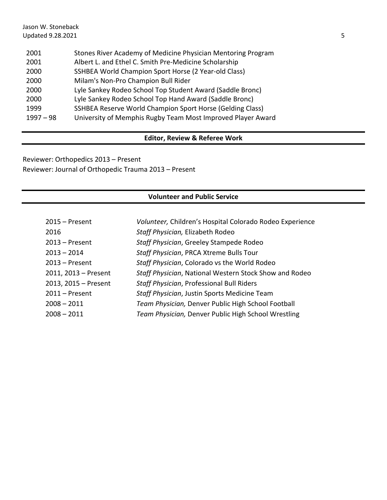| 2001        | Stones River Academy of Medicine Physician Mentoring Program |
|-------------|--------------------------------------------------------------|
| 2001        | Albert L. and Ethel C. Smith Pre-Medicine Scholarship        |
| 2000        | SSHBEA World Champion Sport Horse (2 Year-old Class)         |
| 2000        | Milam's Non-Pro Champion Bull Rider                          |
| 2000        | Lyle Sankey Rodeo School Top Student Award (Saddle Bronc)    |
| 2000        | Lyle Sankey Rodeo School Top Hand Award (Saddle Bronc)       |
| 1999        | SSHBEA Reserve World Champion Sport Horse (Gelding Class)    |
| $1997 - 98$ | University of Memphis Rugby Team Most Improved Player Award  |

# **Editor, Review & Referee Work**

Reviewer: Orthopedics 2013 – Present Reviewer: Journal of Orthopedic Trauma 2013 – Present

# **Volunteer and Public Service**

| $2015 -$ Present     | Volunteer, Children's Hospital Colorado Rodeo Experience |
|----------------------|----------------------------------------------------------|
| 2016                 | Staff Physician, Elizabeth Rodeo                         |
| $2013 -$ Present     | Staff Physician, Greeley Stampede Rodeo                  |
| $2013 - 2014$        | Staff Physician, PRCA Xtreme Bulls Tour                  |
| $2013 -$ Present     | Staff Physician, Colorado vs the World Rodeo             |
| 2011, 2013 - Present | Staff Physician, National Western Stock Show and Rodeo   |
| 2013, 2015 - Present | Staff Physician, Professional Bull Riders                |
| $2011 -$ Present     | Staff Physician, Justin Sports Medicine Team             |
| $2008 - 2011$        | Team Physician, Denver Public High School Football       |
| $2008 - 2011$        | Team Physician, Denver Public High School Wrestling      |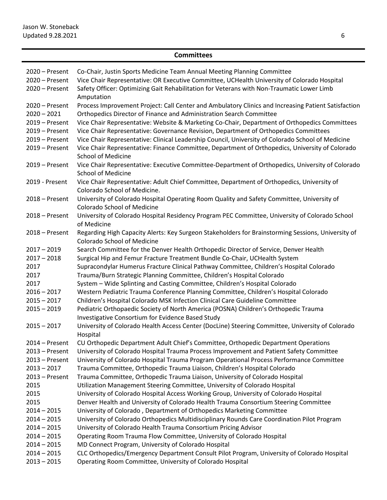# **Committees**

| $2020 -$ Present<br>2020 - Present<br>2020 - Present | Co-Chair, Justin Sports Medicine Team Annual Meeting Planning Committee<br>Vice Chair Representative: OR Executive Committee, UCHealth University of Colorado Hospital<br>Safety Officer: Optimizing Gait Rehabilitation for Veterans with Non-Traumatic Lower Limb |
|------------------------------------------------------|---------------------------------------------------------------------------------------------------------------------------------------------------------------------------------------------------------------------------------------------------------------------|
| 2020 - Present<br>$2020 - 2021$                      | Amputation<br>Process Improvement Project: Call Center and Ambulatory Clinics and Increasing Patient Satisfaction<br>Orthopedics Director of Finance and Administration Search Committee                                                                            |
| $2019 -$ Present                                     | Vice Chair Representative: Website & Marketing Co-Chair, Department of Orthopedics Committees                                                                                                                                                                       |
| $2019 -$ Present                                     | Vice Chair Representative: Governance Revision, Department of Orthopedics Committees                                                                                                                                                                                |
| $2019 -$ Present                                     | Vice Chair Representative: Clinical Leadership Council, University of Colorado School of Medicine                                                                                                                                                                   |
| $2019 -$ Present                                     | Vice Chair Representative: Finance Committee, Department of Orthopedics, University of Colorado<br><b>School of Medicine</b>                                                                                                                                        |
| $2019 -$ Present                                     | Vice Chair Representative: Executive Committee-Department of Orthopedics, University of Colorado<br><b>School of Medicine</b>                                                                                                                                       |
| 2019 - Present                                       | Vice Chair Representative: Adult Chief Committee, Department of Orthopedics, University of<br>Colorado School of Medicine.                                                                                                                                          |
| $2018 -$ Present                                     | University of Colorado Hospital Operating Room Quality and Safety Committee, University of<br>Colorado School of Medicine                                                                                                                                           |
| $2018 -$ Present                                     | University of Colorado Hospital Residency Program PEC Committee, University of Colorado School<br>of Medicine                                                                                                                                                       |
| $2018 -$ Present                                     | Regarding High Capacity Alerts: Key Surgeon Stakeholders for Brainstorming Sessions, University of<br><b>Colorado School of Medicine</b>                                                                                                                            |
| $2017 - 2019$                                        | Search Committee for the Denver Health Orthopedic Director of Service, Denver Health                                                                                                                                                                                |
| $2017 - 2018$                                        | Surgical Hip and Femur Fracture Treatment Bundle Co-Chair, UCHealth System                                                                                                                                                                                          |
| 2017                                                 | Supracondylar Humerus Fracture Clinical Pathway Committee, Children's Hospital Colorado                                                                                                                                                                             |
| 2017                                                 | Trauma/Burn Strategic Planning Committee, Children's Hospital Colorado                                                                                                                                                                                              |
| 2017                                                 | System - Wide Splinting and Casting Committee, Children's Hospital Colorado                                                                                                                                                                                         |
| $2016 - 2017$                                        | Western Pediatric Trauma Conference Planning Committee, Children's Hospital Colorado                                                                                                                                                                                |
| $2015 - 2017$                                        | Children's Hospital Colorado MSK Infection Clinical Care Guideline Committee                                                                                                                                                                                        |
| $2015 - 2019$                                        | Pediatric Orthopaedic Society of North America (POSNA) Children's Orthopedic Trauma<br>Investigative Consortium for Evidence Based Study                                                                                                                            |
| $2015 - 2017$                                        | University of Colorado Health Access Center (DocLine) Steering Committee, University of Colorado<br>Hospital                                                                                                                                                        |
| $2014 -$ Present                                     | CU Orthopedic Department Adult Chief's Committee, Orthopedic Department Operations                                                                                                                                                                                  |
| $2013 -$ Present                                     | University of Colorado Hospital Trauma Process Improvement and Patient Safety Committee                                                                                                                                                                             |
| $2013$ – Present                                     | University of Colorado Hospital Trauma Program Operational Process Performance Committee                                                                                                                                                                            |
| $2013 - 2017$                                        | Trauma Committee, Orthopedic Trauma Liaison, Children's Hospital Colorado                                                                                                                                                                                           |
| $2013$ – Present                                     | Trauma Committee, Orthopedic Trauma Liaison, University of Colorado Hospital                                                                                                                                                                                        |
| 2015                                                 | Utilization Management Steering Committee, University of Colorado Hospital                                                                                                                                                                                          |
| 2015                                                 | University of Colorado Hospital Access Working Group, University of Colorado Hospital                                                                                                                                                                               |
| 2015                                                 | Denver Health and University of Colorado Health Trauma Consortium Steering Committee                                                                                                                                                                                |
| $2014 - 2015$                                        | University of Colorado, Department of Orthopedics Marketing Committee                                                                                                                                                                                               |
| $2014 - 2015$                                        | University of Colorado Orthopedics Multidisciplinary Rounds Care Coordination Pilot Program                                                                                                                                                                         |
| $2014 - 2015$                                        | University of Colorado Health Trauma Consortium Pricing Advisor                                                                                                                                                                                                     |
| $2014 - 2015$                                        | Operating Room Trauma Flow Committee, University of Colorado Hospital                                                                                                                                                                                               |
| $2014 - 2015$                                        | MD Connect Program, University of Colorado Hospital                                                                                                                                                                                                                 |
| $2014 - 2015$                                        | CLC Orthopedics/Emergency Department Consult Pilot Program, University of Colorado Hospital                                                                                                                                                                         |
| $2013 - 2015$                                        | Operating Room Committee, University of Colorado Hospital                                                                                                                                                                                                           |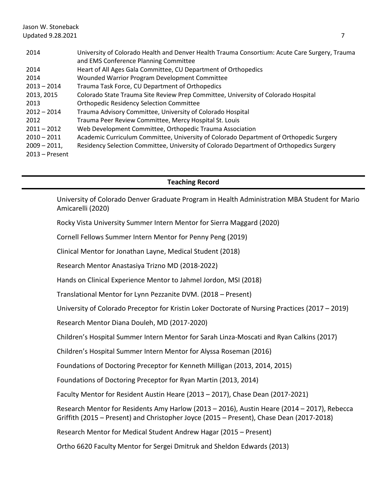#### Jason W. Stoneback Updated  $9.28.2021$   $7$

| 2014             | University of Colorado Health and Denver Health Trauma Consortium: Acute Care Surgery, Trauma |
|------------------|-----------------------------------------------------------------------------------------------|
|                  | and EMS Conference Planning Committee                                                         |
| 2014             | Heart of All Ages Gala Committee, CU Department of Orthopedics                                |
| 2014             | Wounded Warrior Program Development Committee                                                 |
| $2013 - 2014$    | Trauma Task Force, CU Department of Orthopedics                                               |
| 2013, 2015       | Colorado State Trauma Site Review Prep Committee, University of Colorado Hospital             |
| 2013             | <b>Orthopedic Residency Selection Committee</b>                                               |
| $2012 - 2014$    | Trauma Advisory Committee, University of Colorado Hospital                                    |
| 2012             | Trauma Peer Review Committee, Mercy Hospital St. Louis                                        |
| $2011 - 2012$    | Web Development Committee, Orthopedic Trauma Association                                      |
| $2010 - 2011$    | Academic Curriculum Committee, University of Colorado Department of Orthopedic Surgery        |
| $2009 - 2011$    | Residency Selection Committee, University of Colorado Department of Orthopedics Surgery       |
| $2013$ – Present |                                                                                               |

## **Teaching Record**

University of Colorado Denver Graduate Program in Health Administration MBA Student for Mario Amicarelli (2020)

Rocky Vista University Summer Intern Mentor for Sierra Maggard (2020)

Cornell Fellows Summer Intern Mentor for Penny Peng (2019)

Clinical Mentor for Jonathan Layne, Medical Student (2018)

Research Mentor Anastasiya Trizno MD (2018-2022)

Hands on Clinical Experience Mentor to Jahmel Jordon, MSI (2018)

Translational Mentor for Lynn Pezzanite DVM. (2018 – Present)

University of Colorado Preceptor for Kristin Loker Doctorate of Nursing Practices (2017 – 2019)

Research Mentor Diana Douleh, MD (2017-2020)

Children's Hospital Summer Intern Mentor for Sarah Linza-Moscati and Ryan Calkins (2017)

Children's Hospital Summer Intern Mentor for Alyssa Roseman (2016)

Foundations of Doctoring Preceptor for Kenneth Milligan (2013, 2014, 2015)

Foundations of Doctoring Preceptor for Ryan Martin (2013, 2014)

Faculty Mentor for Resident Austin Heare (2013 – 2017), Chase Dean (2017-2021)

Research Mentor for Residents Amy Harlow (2013 – 2016), Austin Heare (2014 – 2017), Rebecca Griffith (2015 – Present) and Christopher Joyce (2015 – Present), Chase Dean (2017-2018)

Research Mentor for Medical Student Andrew Hagar (2015 – Present)

Ortho 6620 Faculty Mentor for Sergei Dmitruk and Sheldon Edwards (2013)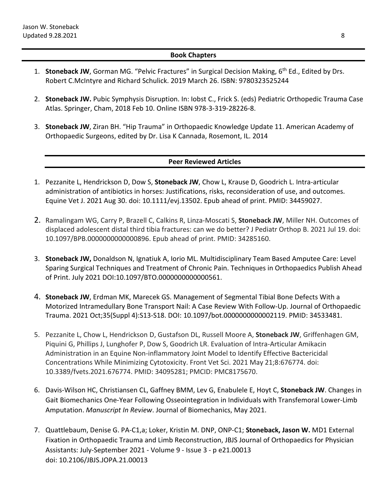## **Book Chapters**

- 1. **Stoneback JW**, Gorman MG. "Pelvic Fractures" in Surgical Decision Making, 6th Ed., Edited by Drs. Robert C.McIntyre and Richard Schulick. 2019 March 26. ISBN: 9780323525244
- 2. **Stoneback JW.** Pubic Symphysis Disruption. In: Iobst C., Frick S. (eds) Pediatric Orthopedic Trauma Case Atlas. Springer, Cham, 2018 Feb 10. Online ISBN 978-3-319-28226-8.
- 3. **Stoneback JW**, Ziran BH. "Hip Trauma" in Orthopaedic Knowledge Update 11. American Academy of Orthopaedic Surgeons, edited by Dr. Lisa K Cannada, Rosemont, IL. 2014

## **Peer Reviewed Articles**

- 1. Pezzanite L, Hendrickson D, Dow S, **Stoneback JW**, Chow L, Krause D, Goodrich L. Intra-articular administration of antibiotics in horses: Justifications, risks, reconsideration of use, and outcomes. Equine Vet J. 2021 Aug 30. doi: 10.1111/evj.13502. Epub ahead of print. PMID: 34459027.
- 2. Ramalingam WG, Carry P, Brazell C, Calkins R, Linza-Moscati S, **Stoneback JW**, Miller NH. Outcomes of displaced adolescent distal third tibia fractures: can we do better? J Pediatr Orthop B. 2021 Jul 19. doi: 10.1097/BPB.0000000000000896. Epub ahead of print. PMID: 34285160.
- 3. **Stoneback JW,** Donaldson N, Ignatiuk A, Iorio ML. Multidisciplinary Team Based Amputee Care: Level Sparing Surgical Techniques and Treatment of Chronic Pain. Techniques in Orthopaedics Publish Ahead of Print. July 2021 DOI:10.1097/BTO.0000000000000561.
- 4. **Stoneback JW**, Erdman MK, Marecek GS. Management of Segmental Tibial Bone Defects With a Motorized Intramedullary Bone Transport Nail: A Case Review With Follow-Up. Journal of Orthopaedic Trauma. 2021 Oct;35(Suppl 4):S13-S18. DOI: 10.1097/bot.0000000000002119. PMID: 34533481.
- 5. Pezzanite L, Chow L, Hendrickson D, Gustafson DL, Russell Moore A, **Stoneback JW**, Griffenhagen GM, Piquini G, Phillips J, Lunghofer P, Dow S, Goodrich LR. Evaluation of Intra-Articular Amikacin Administration in an Equine Non-inflammatory Joint Model to Identify Effective Bactericidal Concentrations While Minimizing Cytotoxicity. Front Vet Sci. 2021 May 21;8:676774. doi: 10.3389/fvets.2021.676774. PMID: 34095281; PMCID: PMC8175670.
- 6. Davis-Wilson HC, Christiansen CL, Gaffney BMM, Lev G, Enabulele E, Hoyt C, **Stoneback JW**. Changes in Gait Biomechanics One-Year Following Osseointegration in Individuals with Transfemoral Lower-Limb Amputation. *Manuscript In Review*. Journal of Biomechanics, May 2021.
- 7. Quattlebaum, Denise G. PA-C1,a; Loker, Kristin M. DNP, ONP-C1; **Stoneback, Jason W.** MD1 External Fixation in Orthopaedic Trauma and Limb Reconstruction, JBJS Journal of Orthopaedics for Physician Assistants: July-September 2021 - Volume 9 - Issue 3 - p e21.00013 doi: 10.2106/JBJS.JOPA.21.00013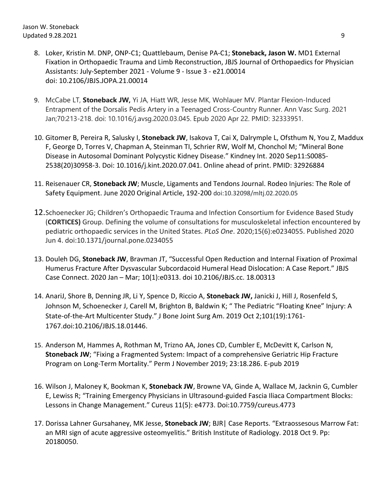- 8. Loker, Kristin M. DNP, ONP-C1; Quattlebaum, Denise PA-C1; **Stoneback, Jason W.** MD1 External Fixation in Orthopaedic Trauma and Limb Reconstruction, JBJS Journal of Orthopaedics for Physician Assistants: July-September 2021 - Volume 9 - Issue 3 - e21.00014 doi: 10.2106/JBJS.JOPA.21.00014
- 9. McCabe LT, **Stoneback JW,** Yi JA, Hiatt WR, Jesse MK, Wohlauer MV. Plantar Flexion-Induced Entrapment of the Dorsalis Pedis Artery in a Teenaged Cross-Country Runner. Ann Vasc Surg. 2021 Jan;70:213-218. doi: 10.1016/j.avsg.2020.03.045. Epub 2020 Apr 22. PMID: 32333951.
- 10. Gitomer B, Pereira R, Salusky I, **Stoneback JW**, Isakova T, Cai X, Dalrymple L, Ofsthum N, You Z, Maddux F, George D, Torres V, Chapman A, Steinman TI, Schrier RW, Wolf M, Chonchol M; "Mineral Bone Disease in Autosomal Dominant Polycystic Kidney Disease." Kindney Int. 2020 Sep11:S0085- 2538(20)30958-3. Doi: 10.1016/j.kint.2020.07.041. Online ahead of print. PMID: 32926884
- 11. Reisenauer CR, **Stoneback JW**; Muscle, Ligaments and Tendons Journal. Rodeo Injuries: The Role of Safety Equipment. June 2020 Original Article, 192-200 doi:10.32098/mltj.02.2020.05
- 12.Schoenecker JG; Children's Orthopaedic Trauma and Infection Consortium for Evidence Based Study (**CORTICES)** Group. Defining the volume of consultations for musculoskeletal infection encountered by pediatric orthopaedic services in the United States. *PLoS One*. 2020;15(6):e0234055. Published 2020 Jun 4. doi:10.1371/journal.pone.0234055
- 13. Douleh DG, **Stoneback JW**, Bravman JT, "Successful Open Reduction and Internal Fixation of Proximal Humerus Fracture After Dysvascular Subcordacoid Humeral Head Dislocation: A Case Report." JBJS Case Connect. 2020 Jan – Mar; 10(1):e0313. doi 10.2106/JBJS.cc. 18.00313
- 14. AnariJ, Shore B, Denning JR, Li Y, Spence D, Riccio A, **Stoneback JW,** Janicki J, Hill J, Rosenfeld S, Johnson M, Schoenecker J, Carell M, Brighton B, Baldwin K; " The Pediatric "Floating Knee" Injury: A State-of-the-Art Multicenter Study." J Bone Joint Surg Am. 2019 Oct 2;101(19):1761- 1767.doi:10.2106/JBJS.18.01446.
- 15. Anderson M, Hammes A, Rothman M, Trizno AA, Jones CD, Cumbler E, McDevitt K, Carlson N, **Stoneback JW**; "Fixing a Fragmented System: Impact of a comprehensive Geriatric Hip Fracture Program on Long-Term Mortality." Perm J November 2019; 23:18.286. E-pub 2019
- 16. Wilson J, Maloney K, Bookman K, **Stoneback JW**, Browne VA, Ginde A, Wallace M, Jacknin G, Cumbler E, Lewiss R; "Training Emergency Physicians in Ultrasound-guided Fascia Iliaca Compartment Blocks: Lessons in Change Management." Cureus 11(5): e4773. Doi:10.7759/cureus.4773
- 17. Dorissa Lahner Gursahaney, MK Jesse, **Stoneback JW**; BJR| Case Reports. "Extraossesous Marrow Fat: an MRI sign of acute aggressive osteomyelitis." British Institute of Radiology. 2018 Oct 9. Pp: 20180050.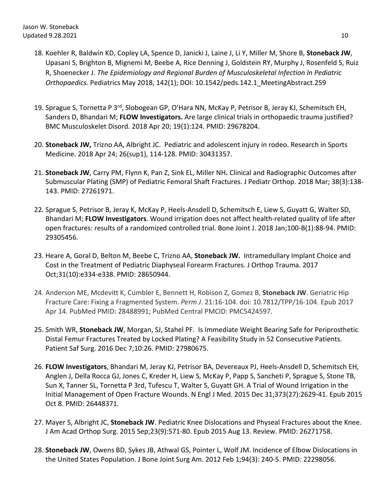- 18. Koehler R, Baldwin KD, Copley LA, Spence D, Janicki J, Laine J, Li Y, Miller M, Shore B, **Stoneback JW**, Upasani S, Brighton B, Mignemi M, Beebe A, Rice Denning J, Goldstein RY, Murphy J, Rosenfeld S, Ruiz R, Shoenecker J. *The Epidemiology and Regional Burden of Musculoskeletal Infection In Pediatric Orthopaedics.* Pediatrics May 2018, 142(1); DOI: 10.1542/peds.142.1\_MeetingAbstract.259
- 19. Sprague S, Tornetta P 3<sup>rd</sup>, Slobogean GP, O'Hara NN, McKay P, Petrisor B, Jeray KJ, Schemitsch EH, Sanders D, Bhandari M; **FLOW Investigators.** Are large clinical trials in orthopaedic trauma justified? BMC Musculoskelet Disord. 2018 Apr 20; 19(1):124. PMID: 29678204.
- 20. **Stoneback JW,** Trizno AA, Albright JC. Pediatric and adolescent injury in rodeo. Research in Sports Medicine. 2018 Apr 24; 26(sup1), 114-128. PMID: 30431357.
- 21. **Stoneback JW**, Carry PM, Flynn K, Pan Z, Sink EL, Miller NH**.** Clinical and Radiographic Outcomes after Submuscular Plating (SMP) of Pediatric Femoral Shaft Fractures. J Pediatr Orthop. 2018 Mar; 38(3):138- 143. PMID: 27261971.
- 22. Sprague S, Petrisor B, Jeray K, McKay P, Heels-Ansdell D, Schemitsch E, Liew S, Guyatt G, Walter SD, Bhandari M; **FLOW Investigators**. Wound irrigation does not affect health-related quality of life after open fractures: results of a randomized controlled trial. Bone Joint J. 2018 Jan;100-B(1):88-94. PMID: 29305456.
- 23. Heare A, Goral D, Belton M, Beebe C, Trizno AA, **Stoneback JW.** Intramedullary Implant Choice and Cost in the Treatment of Pediatric Diaphyseal Forearm Fractures. J Orthop Trauma. 2017 Oct;31(10):e334-e338. PMID: 28650944.
- 24. Anderson ME, Mcdevitt K, Cumbler E, Bennett H, Robison Z, Gomez B, **Stoneback JW**. Geriatric Hip Fracture Care: Fixing a Fragmented System. *Perm J*. 21:16-104. doi: 10.7812/TPP/16-104. Epub 2017 Apr 14. PubMed PMID: 28488991; PubMed Central PMCID: PMC5424597.
- 25. Smith WR, **Stoneback JW**, Morgan, SJ, Stahel PF. Is Immediate Weight Bearing Safe for Periprosthetic Distal Femur Fractures Treated by Locked Plating? A Feasibility Study in 52 Consecutive Patients. Patient Saf Surg. 2016 Dec 7;10:26. PMID: 27980675.
- 26. **FLOW Investigators**, Bhandari M, Jeray KJ, Petrisor BA, Devereaux PJ, Heels-Ansdell D, Schemitsch EH, Anglen J, Della Rocca GJ, Jones C, Kreder H, Liew S, McKay P, Papp S, Sancheti P, Sprague S, Stone TB, Sun X, Tanner SL, Tornetta P 3rd, Tufescu T, Walter S, Guyatt GH. A Trial of Wound Irrigation in the Initial Management of Open Fracture Wounds. N Engl J Med. 2015 Dec 31;373(27):2629-41. Epub 2015 Oct 8. PMID: 26448371.
- 27. Mayer S, Albright JC, **Stoneback JW**. Pediatric Knee Dislocations and Physeal Fractures about the Knee. J Am Acad Orthop Surg. 2015 Sep;23(9):571-80. Epub 2015 Aug 13. Review. PMID: 26271758.
- 28. **Stoneback JW**, Owens BD, Sykes JB, Athwal GS, Pointer L, Wolf JM. Incidence of Elbow Dislocations in the United States Population. J Bone Joint Surg Am. 2012 Feb 1;94(3): 240-5. PMID: 22298056.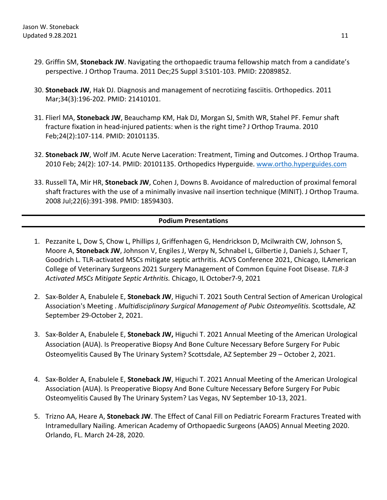- 29. Griffin SM, **Stoneback JW**. Navigating the orthopaedic trauma fellowship match from a candidate's perspective. J Orthop Trauma. 2011 Dec;25 Suppl 3:S101-103. PMID: 22089852.
- 30. **Stoneback JW**, Hak DJ. Diagnosis and management of necrotizing fasciitis. Orthopedics. 2011 Mar;34(3):196-202. PMID: 21410101.
- 31. Flierl MA, **Stoneback JW**, Beauchamp KM, Hak DJ, Morgan SJ, Smith WR, Stahel PF. Femur shaft fracture fixation in head-injured patients: when is the right time? J Orthop Trauma. 2010 Feb;24(2):107-114. PMID: 20101135.
- 32. **Stoneback JW**, Wolf JM. Acute Nerve Laceration: Treatment, Timing and Outcomes. J Orthop Trauma. 2010 Feb; 24(2): 107-14. PMID: 20101135. Orthopedics Hyperguide. [www.ortho.hyperguides.com](http://www.ortho.hyperguides.com/)
- 33. Russell TA, Mir HR, **Stoneback JW**, Cohen J, Downs B. Avoidance of malreduction of proximal femoral shaft fractures with the use of a minimally invasive nail insertion technique (MINIT). J Orthop Trauma. 2008 Jul;22(6):391-398. PMID: 18594303.

## **Podium Presentations**

- 1. Pezzanite L, Dow S, Chow L, Phillips J, Griffenhagen G, Hendrickson D, Mcilwraith CW, Johnson S, Moore A, **Stoneback JW**, Johnson V, Engiles J, Werpy N, Schnabel L, Gilbertie J, Daniels J, Schaer T, Goodrich L. TLR-activated MSCs mitigate septic arthritis. ACVS Conference 2021, Chicago, ILAmerican College of Veterinary Surgeons 2021 Surgery Management of Common Equine Foot Disease. *TLR-3 Activated MSCs Mitigate Septic Arthritis.* Chicago, IL October7-9, 2021
- 2. Sax-Bolder A, Enabulele E, **Stoneback JW**, Higuchi T. 2021 South Central Section of American Urological Association's Meeting . *Multidisciplinary Surgical Management of Pubic Osteomyelitis.* Scottsdale, AZ September 29-October 2, 2021.
- 3. Sax-Bolder A, Enabulele E, **Stoneback JW,** Higuchi T. 2021 Annual Meeting of the American Urological Association (AUA). Is Preoperative Biopsy And Bone Culture Necessary Before Surgery For Pubic Osteomyelitis Caused By The Urinary System? Scottsdale, AZ September 29 – October 2, 2021.
- 4. Sax-Bolder A, Enabulele E, **Stoneback JW**, Higuchi T. 2021 Annual Meeting of the American Urological Association (AUA). Is Preoperative Biopsy And Bone Culture Necessary Before Surgery For Pubic Osteomyelitis Caused By The Urinary System? Las Vegas, NV September 10-13, 2021.
- 5. Trizno AA, Heare A, **Stoneback JW**. The Effect of Canal Fill on Pediatric Forearm Fractures Treated with Intramedullary Nailing. American Academy of Orthopaedic Surgeons (AAOS) Annual Meeting 2020. Orlando, FL. March 24-28, 2020.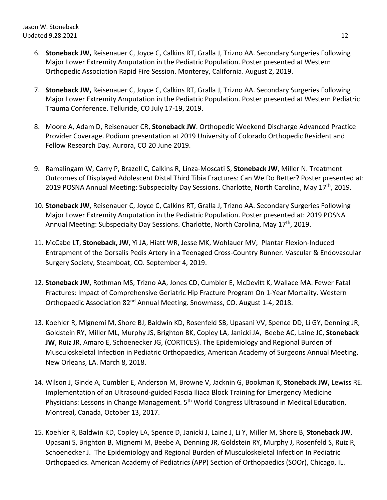- 6. **Stoneback JW,** Reisenauer C, Joyce C, Calkins RT, Gralla J, Trizno AA. Secondary Surgeries Following Major Lower Extremity Amputation in the Pediatric Population. Poster presented at Western Orthopedic Association Rapid Fire Session. Monterey, California. August 2, 2019.
- 7. **Stoneback JW,** Reisenauer C, Joyce C, Calkins RT, Gralla J, Trizno AA. Secondary Surgeries Following Major Lower Extremity Amputation in the Pediatric Population. Poster presented at Western Pediatric Trauma Conference. Telluride, CO July 17-19, 2019.
- 8. Moore A, Adam D, Reisenauer CR, **Stoneback JW**. Orthopedic Weekend Discharge Advanced Practice Provider Coverage. Podium presentation at 2019 University of Colorado Orthopedic Resident and Fellow Research Day. Aurora, CO 20 June 2019.
- 9. Ramalingam W, Carry P, Brazell C, Calkins R, Linza-Moscati S, **Stoneback JW**, Miller N. Treatment Outcomes of Displayed Adolescent Distal Third Tibia Fractures: Can We Do Better? Poster presented at: 2019 POSNA Annual Meeting: Subspecialty Day Sessions. Charlotte, North Carolina, May 17<sup>th</sup>, 2019.
- 10. **Stoneback JW,** Reisenauer C, Joyce C, Calkins RT, Gralla J, Trizno AA. Secondary Surgeries Following Major Lower Extremity Amputation in the Pediatric Population. Poster presented at: 2019 POSNA Annual Meeting: Subspecialty Day Sessions. Charlotte, North Carolina, May 17<sup>th</sup>, 2019.
- 11. McCabe LT, **Stoneback, JW**, Yi JA, Hiatt WR, Jesse MK, Wohlauer MV; Plantar Flexion-Induced Entrapment of the Dorsalis Pedis Artery in a Teenaged Cross-Country Runner. Vascular & Endovascular Surgery Society, Steamboat, CO. September 4, 2019.
- 12. **Stoneback JW,** Rothman MS, Trizno AA, Jones CD, Cumbler E, McDevitt K, Wallace MA. Fewer Fatal Fractures: Impact of Comprehensive Geriatric Hip Fracture Program On 1-Year Mortality. Western Orthopaedic Association 82<sup>nd</sup> Annual Meeting. Snowmass, CO. August 1-4, 2018.
- 13. Koehler R, Mignemi M, Shore BJ, Baldwin KD, Rosenfeld SB, Upasani VV, Spence DD, Li GY, Denning JR, Goldstein RY, Miller ML, Murphy JS, Brighton BK, Copley LA, Janicki JA, Beebe AC, Laine JC, **Stoneback JW**, Ruiz JR, Amaro E, Schoenecker JG, (CORTICES). The Epidemiology and Regional Burden of Musculoskeletal Infection in Pediatric Orthopaedics, American Academy of Surgeons Annual Meeting, New Orleans, LA. March 8, 2018.
- 14. Wilson J, Ginde A, Cumbler E, Anderson M, Browne V, Jacknin G, Bookman K, **Stoneback JW,** Lewiss RE. Implementation of an Ultrasound-guided Fascia Iliaca Block Training for Emergency Medicine Physicians: Lessons in Change Management. 5<sup>th</sup> World Congress Ultrasound in Medical Education, Montreal, Canada, October 13, 2017.
- 15. Koehler R, Baldwin KD, Copley LA, Spence D, Janicki J, Laine J, Li Y, Miller M, Shore B, **Stoneback JW**, Upasani S, Brighton B, Mignemi M, Beebe A, Denning JR, Goldstein RY, Murphy J, Rosenfeld S, Ruiz R, Schoenecker J. The Epidemiology and Regional Burden of Musculoskeletal Infection In Pediatric Orthopaedics. American Academy of Pediatrics (APP) Section of Orthopaedics (SOOr), Chicago, IL.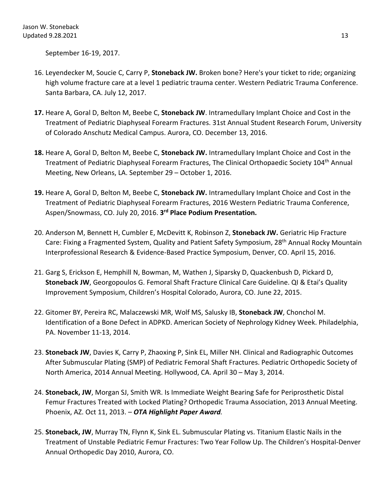September 16-19, 2017.

- 16. Leyendecker M, Soucie C, Carry P, **Stoneback JW.** Broken bone? Here's your ticket to ride; organizing high volume fracture care at a level 1 pediatric trauma center. Western Pediatric Trauma Conference. Santa Barbara, CA. July 12, 2017.
- **17.** Heare A, Goral D, Belton M, Beebe C, **Stoneback JW**. Intramedullary Implant Choice and Cost in the Treatment of Pediatric Diaphyseal Forearm Fractures. 31st Annual Student Research Forum, University of Colorado Anschutz Medical Campus. Aurora, CO. December 13, 2016.
- **18.** Heare A, Goral D, Belton M, Beebe C, **Stoneback JW.** Intramedullary Implant Choice and Cost in the Treatment of Pediatric Diaphyseal Forearm Fractures, The Clinical Orthopaedic Society 104th Annual Meeting, New Orleans, LA. September 29 – October 1, 2016.
- **19.** Heare A, Goral D, Belton M, Beebe C, **Stoneback JW.** Intramedullary Implant Choice and Cost in the Treatment of Pediatric Diaphyseal Forearm Fractures, 2016 Western Pediatric Trauma Conference, Aspen/Snowmass, CO. July 20, 2016. **3rd Place Podium Presentation.**
- 20. Anderson M, Bennett H, Cumbler E, McDevitt K, Robinson Z, **Stoneback JW.** Geriatric Hip Fracture Care: Fixing a Fragmented System, Quality and Patient Safety Symposium, 28th Annual Rocky Mountain Interprofessional Research & Evidence-Based Practice Symposium, Denver, CO. April 15, 2016.
- 21. Garg S, Erickson E, Hemphill N, Bowman, M, Wathen J, Siparsky D, Quackenbush D, Pickard D, **Stoneback JW**, Georgopoulos G. Femoral Shaft Fracture Clinical Care Guideline. QI & Etai's Quality Improvement Symposium, Children's Hospital Colorado, Aurora, CO. June 22, 2015.
- 22. Gitomer BY, Pereira RC, Malaczewski MR, Wolf MS, Salusky IB, **Stoneback JW**, Chonchol M. Identification of a Bone Defect in ADPKD. American Society of Nephrology Kidney Week. Philadelphia, PA. November 11-13, 2014.
- 23. **Stoneback JW**, Davies K, Carry P, Zhaoxing P, Sink EL, Miller NH. Clinical and Radiographic Outcomes After Submuscular Plating (SMP) of Pediatric Femoral Shaft Fractures. Pediatric Orthopedic Society of North America, 2014 Annual Meeting. Hollywood, CA. April 30 – May 3, 2014.
- 24. **Stoneback, JW**, Morgan SJ, Smith WR. Is Immediate Weight Bearing Safe for Periprosthetic Distal Femur Fractures Treated with Locked Plating? Orthopedic Trauma Association, 2013 Annual Meeting. Phoenix, AZ. Oct 11, 2013. – *OTA Highlight Paper Award.*
- 25. **Stoneback, JW**, Murray TN, Flynn K, Sink EL. Submuscular Plating vs. Titanium Elastic Nails in the Treatment of Unstable Pediatric Femur Fractures: Two Year Follow Up. The Children's Hospital-Denver Annual Orthopedic Day 2010, Aurora, CO.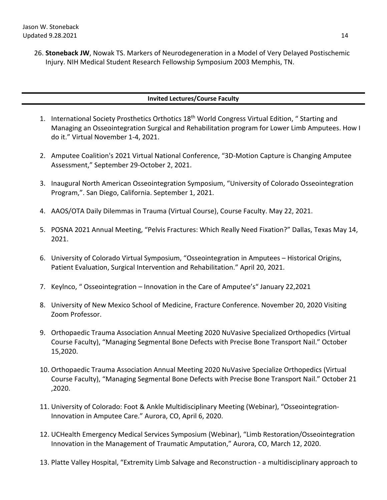26. **Stoneback JW**, Nowak TS. Markers of Neurodegeneration in a Model of Very Delayed Postischemic Injury. NIH Medical Student Research Fellowship Symposium 2003 Memphis, TN.

## **Invited Lectures/Course Faculty**

- 1. International Society Prosthetics Orthotics 18th World Congress Virtual Edition, " Starting and Managing an Osseointegration Surgical and Rehabilitation program for Lower Limb Amputees. How I do it." Virtual November 1-4, 2021.
- 2. Amputee Coalition's 2021 Virtual National Conference, "3D-Motion Capture is Changing Amputee Assessment," September 29-October 2, 2021.
- 3. Inaugural North American Osseointegration Symposium, "University of Colorado Osseointegration Program,". San Diego, California. September 1, 2021.
- 4. AAOS/OTA Daily Dilemmas in Trauma (Virtual Course), Course Faculty. May 22, 2021.
- 5. POSNA 2021 Annual Meeting, "Pelvis Fractures: Which Really Need Fixation?" Dallas, Texas May 14, 2021.
- 6. University of Colorado Virtual Symposium, "Osseointegration in Amputees Historical Origins, Patient Evaluation, Surgical Intervention and Rehabilitation." April 20, 2021.
- 7. Keylnco, " Osseointegration Innovation in the Care of Amputee's" January 22,2021
- 8. University of New Mexico School of Medicine, Fracture Conference. November 20, 2020 Visiting Zoom Professor.
- 9. Orthopaedic Trauma Association Annual Meeting 2020 NuVasive Specialized Orthopedics (Virtual Course Faculty), "Managing Segmental Bone Defects with Precise Bone Transport Nail." October 15,2020.
- 10. Orthopaedic Trauma Association Annual Meeting 2020 NuVasive Specialize Orthopedics (Virtual Course Faculty), "Managing Segmental Bone Defects with Precise Bone Transport Nail." October 21 ,2020.
- 11. University of Colorado: Foot & Ankle Multidisciplinary Meeting (Webinar), "Osseointegration-Innovation in Amputee Care." Aurora, CO, April 6, 2020.
- 12. UCHealth Emergency Medical Services Symposium (Webinar), "Limb Restoration/Osseointegration Innovation in the Management of Traumatic Amputation," Aurora, CO, March 12, 2020.
- 13. Platte Valley Hospital, "Extremity Limb Salvage and Reconstruction a multidisciplinary approach to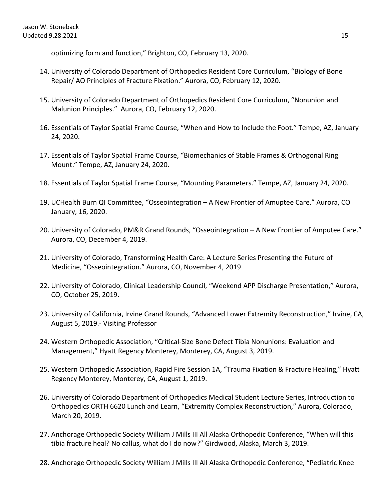optimizing form and function," Brighton, CO, February 13, 2020.

- 14. University of Colorado Department of Orthopedics Resident Core Curriculum, "Biology of Bone Repair/ AO Principles of Fracture Fixation." Aurora, CO, February 12, 2020.
- 15. University of Colorado Department of Orthopedics Resident Core Curriculum, "Nonunion and Malunion Principles." Aurora, CO, February 12, 2020.
- 16. Essentials of Taylor Spatial Frame Course, "When and How to Include the Foot." Tempe, AZ, January 24, 2020.
- 17. Essentials of Taylor Spatial Frame Course, "Biomechanics of Stable Frames & Orthogonal Ring Mount." Tempe, AZ, January 24, 2020.
- 18. Essentials of Taylor Spatial Frame Course, "Mounting Parameters." Tempe, AZ, January 24, 2020.
- 19. UCHealth Burn QI Committee, "Osseointegration A New Frontier of Amuptee Care." Aurora, CO January, 16, 2020.
- 20. University of Colorado, PM&R Grand Rounds, "Osseointegration A New Frontier of Amputee Care." Aurora, CO, December 4, 2019.
- 21. University of Colorado, Transforming Health Care: A Lecture Series Presenting the Future of Medicine, "Osseointegration." Aurora, CO, November 4, 2019
- 22. University of Colorado, Clinical Leadership Council, "Weekend APP Discharge Presentation," Aurora, CO, October 25, 2019.
- 23. University of California, Irvine Grand Rounds, "Advanced Lower Extremity Reconstruction," Irvine, CA, August 5, 2019.- Visiting Professor
- 24. Western Orthopedic Association, "Critical-Size Bone Defect Tibia Nonunions: Evaluation and Management," Hyatt Regency Monterey, Monterey, CA, August 3, 2019.
- 25. Western Orthopedic Association, Rapid Fire Session 1A, "Trauma Fixation & Fracture Healing," Hyatt Regency Monterey, Monterey, CA, August 1, 2019.
- 26. University of Colorado Department of Orthopedics Medical Student Lecture Series, Introduction to Orthopedics ORTH 6620 Lunch and Learn, "Extremity Complex Reconstruction," Aurora, Colorado, March 20, 2019.
- 27. Anchorage Orthopedic Society William J Mills III All Alaska Orthopedic Conference, "When will this tibia fracture heal? No callus, what do I do now?" Girdwood, Alaska, March 3, 2019.
- 28. Anchorage Orthopedic Society William J Mills III All Alaska Orthopedic Conference, "Pediatric Knee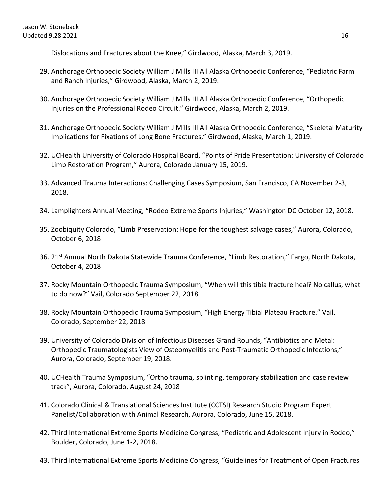Dislocations and Fractures about the Knee," Girdwood, Alaska, March 3, 2019.

- 29. Anchorage Orthopedic Society William J Mills III All Alaska Orthopedic Conference, "Pediatric Farm and Ranch Injuries," Girdwood, Alaska, March 2, 2019.
- 30. Anchorage Orthopedic Society William J Mills III All Alaska Orthopedic Conference, "Orthopedic Injuries on the Professional Rodeo Circuit." Girdwood, Alaska, March 2, 2019.
- 31. Anchorage Orthopedic Society William J Mills III All Alaska Orthopedic Conference, "Skeletal Maturity Implications for Fixations of Long Bone Fractures," Girdwood, Alaska, March 1, 2019.
- 32. UCHealth University of Colorado Hospital Board, "Points of Pride Presentation: University of Colorado Limb Restoration Program," Aurora, Colorado January 15, 2019.
- 33. Advanced Trauma Interactions: Challenging Cases Symposium, San Francisco, CA November 2-3, 2018.
- 34. Lamplighters Annual Meeting, "Rodeo Extreme Sports Injuries," Washington DC October 12, 2018.
- 35. Zoobiquity Colorado, "Limb Preservation: Hope for the toughest salvage cases," Aurora, Colorado, October 6, 2018
- 36. 21<sup>st</sup> Annual North Dakota Statewide Trauma Conference, "Limb Restoration," Fargo, North Dakota, October 4, 2018
- 37. Rocky Mountain Orthopedic Trauma Symposium, "When will this tibia fracture heal? No callus, what to do now?" Vail, Colorado September 22, 2018
- 38. Rocky Mountain Orthopedic Trauma Symposium, "High Energy Tibial Plateau Fracture." Vail, Colorado, September 22, 2018
- 39. University of Colorado Division of Infectious Diseases Grand Rounds, "Antibiotics and Metal: Orthopedic Traumatologists View of Osteomyelitis and Post-Traumatic Orthopedic Infections," Aurora, Colorado, September 19, 2018.
- 40. UCHealth Trauma Symposium, "Ortho trauma, splinting, temporary stabilization and case review track", Aurora, Colorado, August 24, 2018
- 41. Colorado Clinical & Translational Sciences Institute (CCTSI) Research Studio Program Expert Panelist/Collaboration with Animal Research, Aurora, Colorado, June 15, 2018.
- 42. Third International Extreme Sports Medicine Congress, "Pediatric and Adolescent Injury in Rodeo," Boulder, Colorado, June 1-2, 2018.
- 43. Third International Extreme Sports Medicine Congress, "Guidelines for Treatment of Open Fractures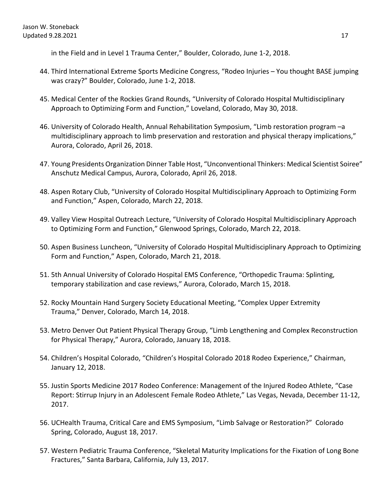in the Field and in Level 1 Trauma Center," Boulder, Colorado, June 1-2, 2018.

- 44. Third International Extreme Sports Medicine Congress, "Rodeo Injuries You thought BASE jumping was crazy?" Boulder, Colorado, June 1-2, 2018.
- 45. Medical Center of the Rockies Grand Rounds, "University of Colorado Hospital Multidisciplinary Approach to Optimizing Form and Function," Loveland, Colorado, May 30, 2018.
- 46. University of Colorado Health, Annual Rehabilitation Symposium, "Limb restoration program –a multidisciplinary approach to limb preservation and restoration and physical therapy implications," Aurora, Colorado, April 26, 2018.
- 47. Young Presidents Organization Dinner Table Host, "Unconventional Thinkers: Medical Scientist Soiree" Anschutz Medical Campus, Aurora, Colorado, April 26, 2018.
- 48. Aspen Rotary Club, "University of Colorado Hospital Multidisciplinary Approach to Optimizing Form and Function," Aspen, Colorado, March 22, 2018.
- 49. Valley View Hospital Outreach Lecture, "University of Colorado Hospital Multidisciplinary Approach to Optimizing Form and Function," Glenwood Springs, Colorado, March 22, 2018.
- 50. Aspen Business Luncheon, "University of Colorado Hospital Multidisciplinary Approach to Optimizing Form and Function," Aspen, Colorado, March 21, 2018.
- 51. 5th Annual University of Colorado Hospital EMS Conference, "Orthopedic Trauma: Splinting, temporary stabilization and case reviews," Aurora, Colorado, March 15, 2018.
- 52. Rocky Mountain Hand Surgery Society Educational Meeting, "Complex Upper Extremity Trauma," Denver, Colorado, March 14, 2018.
- 53. Metro Denver Out Patient Physical Therapy Group, "Limb Lengthening and Complex Reconstruction for Physical Therapy," Aurora, Colorado, January 18, 2018.
- 54. Children's Hospital Colorado, "Children's Hospital Colorado 2018 Rodeo Experience," Chairman, January 12, 2018.
- 55. Justin Sports Medicine 2017 Rodeo Conference: Management of the Injured Rodeo Athlete, "Case Report: Stirrup Injury in an Adolescent Female Rodeo Athlete," Las Vegas, Nevada, December 11-12, 2017.
- 56. UCHealth Trauma, Critical Care and EMS Symposium, "Limb Salvage or Restoration?" Colorado Spring, Colorado, August 18, 2017.
- 57. Western Pediatric Trauma Conference, "Skeletal Maturity Implications for the Fixation of Long Bone Fractures," Santa Barbara, California, July 13, 2017.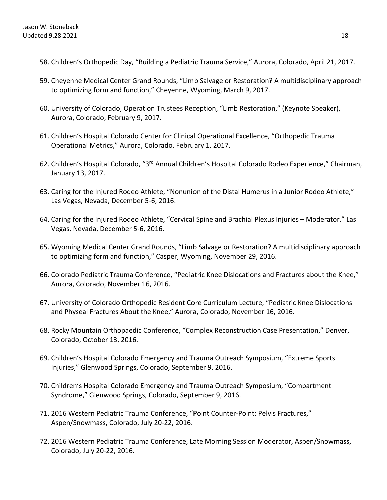- 58. Children's Orthopedic Day, "Building a Pediatric Trauma Service," Aurora, Colorado, April 21, 2017.
- 59. Cheyenne Medical Center Grand Rounds, "Limb Salvage or Restoration? A multidisciplinary approach to optimizing form and function," Cheyenne, Wyoming, March 9, 2017.
- 60. University of Colorado, Operation Trustees Reception, "Limb Restoration," (Keynote Speaker), Aurora, Colorado, February 9, 2017.
- 61. Children's Hospital Colorado Center for Clinical Operational Excellence, "Orthopedic Trauma Operational Metrics," Aurora, Colorado, February 1, 2017.
- 62. Children's Hospital Colorado, "3rd Annual Children's Hospital Colorado Rodeo Experience," Chairman, January 13, 2017.
- 63. Caring for the Injured Rodeo Athlete, "Nonunion of the Distal Humerus in a Junior Rodeo Athlete," Las Vegas, Nevada, December 5-6, 2016.
- 64. Caring for the Injured Rodeo Athlete, "Cervical Spine and Brachial Plexus Injuries Moderator," Las Vegas, Nevada, December 5-6, 2016.
- 65. Wyoming Medical Center Grand Rounds, "Limb Salvage or Restoration? A multidisciplinary approach to optimizing form and function," Casper, Wyoming, November 29, 2016.
- 66. Colorado Pediatric Trauma Conference, "Pediatric Knee Dislocations and Fractures about the Knee," Aurora, Colorado, November 16, 2016.
- 67. University of Colorado Orthopedic Resident Core Curriculum Lecture, "Pediatric Knee Dislocations and Physeal Fractures About the Knee," Aurora, Colorado, November 16, 2016.
- 68. Rocky Mountain Orthopaedic Conference, "Complex Reconstruction Case Presentation," Denver, Colorado, October 13, 2016.
- 69. Children's Hospital Colorado Emergency and Trauma Outreach Symposium, "Extreme Sports Injuries," Glenwood Springs, Colorado, September 9, 2016.
- 70. Children's Hospital Colorado Emergency and Trauma Outreach Symposium, "Compartment Syndrome," Glenwood Springs, Colorado, September 9, 2016.
- 71. 2016 Western Pediatric Trauma Conference, "Point Counter-Point: Pelvis Fractures," Aspen/Snowmass, Colorado, July 20-22, 2016.
- 72. 2016 Western Pediatric Trauma Conference, Late Morning Session Moderator, Aspen/Snowmass, Colorado, July 20-22, 2016.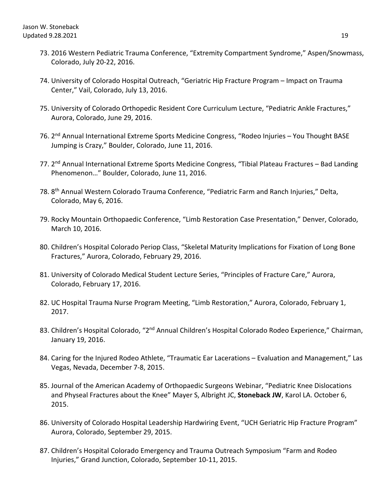- 73. 2016 Western Pediatric Trauma Conference, "Extremity Compartment Syndrome," Aspen/Snowmass, Colorado, July 20-22, 2016.
- 74. University of Colorado Hospital Outreach, "Geriatric Hip Fracture Program Impact on Trauma Center," Vail, Colorado, July 13, 2016.
- 75. University of Colorado Orthopedic Resident Core Curriculum Lecture, "Pediatric Ankle Fractures," Aurora, Colorado, June 29, 2016.
- 76. 2<sup>nd</sup> Annual International Extreme Sports Medicine Congress, "Rodeo Injuries You Thought BASE Jumping is Crazy," Boulder, Colorado, June 11, 2016.
- 77. 2<sup>nd</sup> Annual International Extreme Sports Medicine Congress, "Tibial Plateau Fractures Bad Landing Phenomenon…" Boulder, Colorado, June 11, 2016.
- 78. 8th Annual Western Colorado Trauma Conference, "Pediatric Farm and Ranch Injuries," Delta, Colorado, May 6, 2016.
- 79. Rocky Mountain Orthopaedic Conference, "Limb Restoration Case Presentation," Denver, Colorado, March 10, 2016.
- 80. Children's Hospital Colorado Periop Class, "Skeletal Maturity Implications for Fixation of Long Bone Fractures," Aurora, Colorado, February 29, 2016.
- 81. University of Colorado Medical Student Lecture Series, "Principles of Fracture Care," Aurora, Colorado, February 17, 2016.
- 82. UC Hospital Trauma Nurse Program Meeting, "Limb Restoration," Aurora, Colorado, February 1, 2017.
- 83. Children's Hospital Colorado, "2<sup>nd</sup> Annual Children's Hospital Colorado Rodeo Experience," Chairman, January 19, 2016.
- 84. Caring for the Injured Rodeo Athlete, "Traumatic Ear Lacerations Evaluation and Management," Las Vegas, Nevada, December 7-8, 2015.
- 85. Journal of the American Academy of Orthopaedic Surgeons Webinar, "Pediatric Knee Dislocations and Physeal Fractures about the Knee" Mayer S, Albright JC, **Stoneback JW**, Karol LA. October 6, 2015.
- 86. University of Colorado Hospital Leadership Hardwiring Event, "UCH Geriatric Hip Fracture Program" Aurora, Colorado, September 29, 2015.
- 87. Children's Hospital Colorado Emergency and Trauma Outreach Symposium "Farm and Rodeo Injuries," Grand Junction, Colorado, September 10-11, 2015.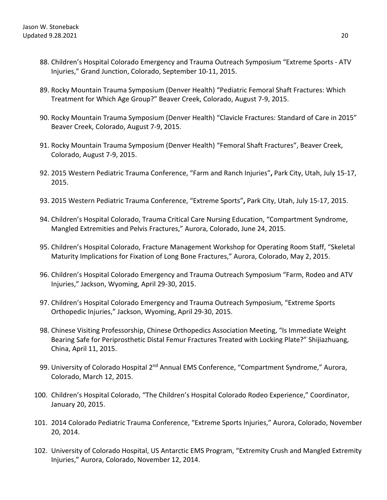- 88. Children's Hospital Colorado Emergency and Trauma Outreach Symposium "Extreme Sports ATV Injuries," Grand Junction, Colorado, September 10-11, 2015.
- 89. Rocky Mountain Trauma Symposium (Denver Health) "Pediatric Femoral Shaft Fractures: Which Treatment for Which Age Group?" Beaver Creek, Colorado, August 7-9, 2015.
- 90. Rocky Mountain Trauma Symposium (Denver Health) "Clavicle Fractures: Standard of Care in 2015" Beaver Creek, Colorado, August 7-9, 2015.
- 91. Rocky Mountain Trauma Symposium (Denver Health) "Femoral Shaft Fractures", Beaver Creek, Colorado, August 7-9, 2015.
- 92. 2015 Western Pediatric Trauma Conference, "Farm and Ranch Injuries"**,** Park City, Utah, July 15-17, 2015.
- 93. 2015 Western Pediatric Trauma Conference, "Extreme Sports"**,** Park City, Utah, July 15-17, 2015.
- 94. Children's Hospital Colorado, Trauma Critical Care Nursing Education, "Compartment Syndrome, Mangled Extremities and Pelvis Fractures," Aurora, Colorado, June 24, 2015.
- 95. Children's Hospital Colorado, Fracture Management Workshop for Operating Room Staff, "Skeletal Maturity Implications for Fixation of Long Bone Fractures," Aurora, Colorado, May 2, 2015.
- 96. Children's Hospital Colorado Emergency and Trauma Outreach Symposium "Farm, Rodeo and ATV Injuries," Jackson, Wyoming, April 29-30, 2015.
- 97. Children's Hospital Colorado Emergency and Trauma Outreach Symposium, "Extreme Sports Orthopedic Injuries," Jackson, Wyoming, April 29-30, 2015.
- 98. Chinese Visiting Professorship, Chinese Orthopedics Association Meeting, "Is Immediate Weight Bearing Safe for Periprosthetic Distal Femur Fractures Treated with Locking Plate?" Shijiazhuang, China, April 11, 2015.
- 99. University of Colorado Hospital 2<sup>nd</sup> Annual EMS Conference, "Compartment Syndrome," Aurora, Colorado, March 12, 2015.
- 100. Children's Hospital Colorado, "The Children's Hospital Colorado Rodeo Experience," Coordinator, January 20, 2015.
- 101. 2014 Colorado Pediatric Trauma Conference, "Extreme Sports Injuries," Aurora, Colorado, November 20, 2014.
- 102. University of Colorado Hospital, US Antarctic EMS Program, "Extremity Crush and Mangled Extremity Injuries," Aurora, Colorado, November 12, 2014.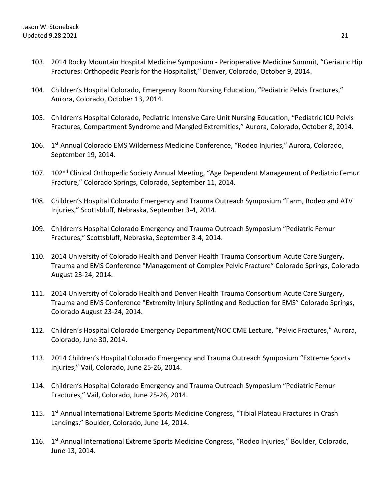- 103. 2014 Rocky Mountain Hospital Medicine Symposium Perioperative Medicine Summit, "Geriatric Hip Fractures: Orthopedic Pearls for the Hospitalist," Denver, Colorado, October 9, 2014.
- 104. Children's Hospital Colorado, Emergency Room Nursing Education, "Pediatric Pelvis Fractures," Aurora, Colorado, October 13, 2014.
- 105. Children's Hospital Colorado, Pediatric Intensive Care Unit Nursing Education, "Pediatric ICU Pelvis Fractures, Compartment Syndrome and Mangled Extremities," Aurora, Colorado, October 8, 2014.
- 106. 1<sup>st</sup> Annual Colorado EMS Wilderness Medicine Conference, "Rodeo Injuries," Aurora, Colorado, September 19, 2014.
- 107. 102<sup>nd</sup> Clinical Orthopedic Society Annual Meeting, "Age Dependent Management of Pediatric Femur Fracture," Colorado Springs, Colorado, September 11, 2014.
- 108. Children's Hospital Colorado Emergency and Trauma Outreach Symposium "Farm, Rodeo and ATV Injuries," Scottsbluff, Nebraska, September 3-4, 2014.
- 109. Children's Hospital Colorado Emergency and Trauma Outreach Symposium "Pediatric Femur Fractures," Scottsbluff, Nebraska, September 3-4, 2014.
- 110. 2014 University of Colorado Health and Denver Health Trauma Consortium Acute Care Surgery, Trauma and EMS Conference "Management of Complex Pelvic Fracture" Colorado Springs, Colorado August 23-24, 2014.
- 111. 2014 University of Colorado Health and Denver Health Trauma Consortium Acute Care Surgery, Trauma and EMS Conference "Extremity Injury Splinting and Reduction for EMS" Colorado Springs, Colorado August 23-24, 2014.
- 112. Children's Hospital Colorado Emergency Department/NOC CME Lecture, "Pelvic Fractures," Aurora, Colorado, June 30, 2014.
- 113. 2014 Children's Hospital Colorado Emergency and Trauma Outreach Symposium "Extreme Sports Injuries," Vail, Colorado, June 25-26, 2014.
- 114. Children's Hospital Colorado Emergency and Trauma Outreach Symposium "Pediatric Femur Fractures," Vail, Colorado, June 25-26, 2014.
- 115. 1<sup>st</sup> Annual International Extreme Sports Medicine Congress, "Tibial Plateau Fractures in Crash Landings," Boulder, Colorado, June 14, 2014.
- 116. 1st Annual International Extreme Sports Medicine Congress, "Rodeo Injuries," Boulder, Colorado, June 13, 2014.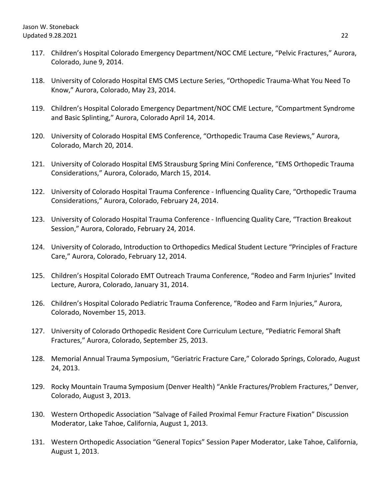- 117. Children's Hospital Colorado Emergency Department/NOC CME Lecture, "Pelvic Fractures," Aurora, Colorado, June 9, 2014.
- 118. University of Colorado Hospital EMS CMS Lecture Series, "Orthopedic Trauma-What You Need To Know," Aurora, Colorado, May 23, 2014.
- 119. Children's Hospital Colorado Emergency Department/NOC CME Lecture, "Compartment Syndrome and Basic Splinting," Aurora, Colorado April 14, 2014.
- 120. University of Colorado Hospital EMS Conference, "Orthopedic Trauma Case Reviews," Aurora, Colorado, March 20, 2014.
- 121. University of Colorado Hospital EMS Strausburg Spring Mini Conference, "EMS Orthopedic Trauma Considerations," Aurora, Colorado, March 15, 2014.
- 122. University of Colorado Hospital Trauma Conference Influencing Quality Care, "Orthopedic Trauma Considerations," Aurora, Colorado, February 24, 2014.
- 123. University of Colorado Hospital Trauma Conference Influencing Quality Care, "Traction Breakout Session," Aurora, Colorado, February 24, 2014.
- 124. University of Colorado, Introduction to Orthopedics Medical Student Lecture "Principles of Fracture Care," Aurora, Colorado, February 12, 2014.
- 125. Children's Hospital Colorado EMT Outreach Trauma Conference, "Rodeo and Farm Injuries" Invited Lecture, Aurora, Colorado, January 31, 2014.
- 126. Children's Hospital Colorado Pediatric Trauma Conference, "Rodeo and Farm Injuries," Aurora, Colorado, November 15, 2013.
- 127. University of Colorado Orthopedic Resident Core Curriculum Lecture, "Pediatric Femoral Shaft Fractures," Aurora, Colorado, September 25, 2013.
- 128. Memorial Annual Trauma Symposium, "Geriatric Fracture Care," Colorado Springs, Colorado, August 24, 2013.
- 129. Rocky Mountain Trauma Symposium (Denver Health) "Ankle Fractures/Problem Fractures," Denver, Colorado, August 3, 2013.
- 130. Western Orthopedic Association "Salvage of Failed Proximal Femur Fracture Fixation" Discussion Moderator, Lake Tahoe, California, August 1, 2013.
- 131. Western Orthopedic Association "General Topics" Session Paper Moderator, Lake Tahoe, California, August 1, 2013.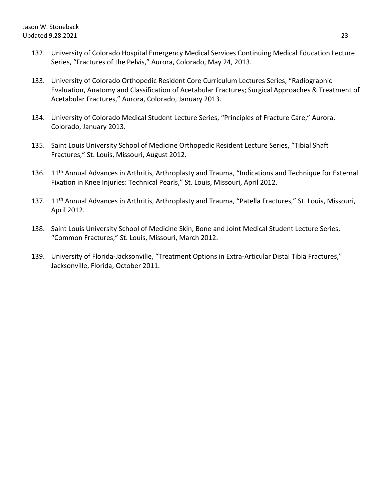- 132. University of Colorado Hospital Emergency Medical Services Continuing Medical Education Lecture Series, "Fractures of the Pelvis," Aurora, Colorado, May 24, 2013.
- 133. University of Colorado Orthopedic Resident Core Curriculum Lectures Series, "Radiographic Evaluation, Anatomy and Classification of Acetabular Fractures; Surgical Approaches & Treatment of Acetabular Fractures," Aurora, Colorado, January 2013.
- 134. University of Colorado Medical Student Lecture Series, "Principles of Fracture Care," Aurora, Colorado, January 2013.
- 135. Saint Louis University School of Medicine Orthopedic Resident Lecture Series, "Tibial Shaft Fractures," St. Louis, Missouri, August 2012.
- 136. 11<sup>th</sup> Annual Advances in Arthritis, Arthroplasty and Trauma, "Indications and Technique for External Fixation in Knee Injuries: Technical Pearls," St. Louis, Missouri, April 2012.
- 137. 11<sup>th</sup> Annual Advances in Arthritis, Arthroplasty and Trauma, "Patella Fractures," St. Louis, Missouri, April 2012.
- 138. Saint Louis University School of Medicine Skin, Bone and Joint Medical Student Lecture Series, "Common Fractures," St. Louis, Missouri, March 2012.
- 139. University of Florida-Jacksonville, "Treatment Options in Extra-Articular Distal Tibia Fractures," Jacksonville, Florida, October 2011.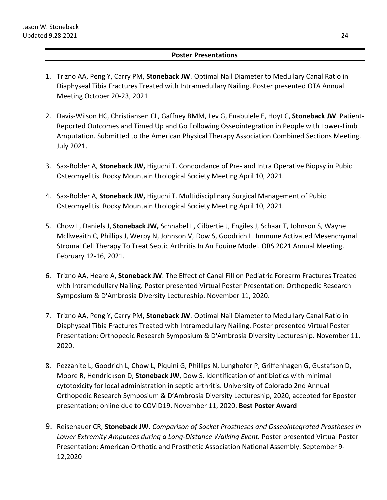## **Poster Presentations**

- 1. Trizno AA, Peng Y, Carry PM, **Stoneback JW**. Optimal Nail Diameter to Medullary Canal Ratio in Diaphyseal Tibia Fractures Treated with Intramedullary Nailing. Poster presented OTA Annual Meeting October 20-23, 2021
- 2. Davis-Wilson HC, Christiansen CL, Gaffney BMM, Lev G, Enabulele E, Hoyt C, **Stoneback JW**. Patient-Reported Outcomes and Timed Up and Go Following Osseointegration in People with Lower-Limb Amputation. Submitted to the American Physical Therapy Association Combined Sections Meeting. July 2021.
- 3. Sax-Bolder A, **Stoneback JW,** Higuchi T. Concordance of Pre- and Intra Operative Biopsy in Pubic Osteomyelitis. Rocky Mountain Urological Society Meeting April 10, 2021.
- 4. Sax-Bolder A, **Stoneback JW,** Higuchi T. Multidisciplinary Surgical Management of Pubic Osteomyelitis. Rocky Mountain Urological Society Meeting April 10, 2021.
- 5. Chow L, Daniels J, **Stoneback JW,** Schnabel L, Gilbertie J, Engiles J, Schaar T, Johnson S, Wayne Mcllweaith C, Phillips J, Werpy N, Johnson V, Dow S, Goodrich L. Immune Activated Mesenchymal Stromal Cell Therapy To Treat Septic Arthritis In An Equine Model. ORS 2021 Annual Meeting. February 12-16, 2021.
- 6. Trizno AA, Heare A, **Stoneback JW**. The Effect of Canal Fill on Pediatric Forearm Fractures Treated with Intramedullary Nailing. Poster presented Virtual Poster Presentation: Orthopedic Research Symposium & D'Ambrosia Diversity Lectureship. November 11, 2020.
- 7. Trizno AA, Peng Y, Carry PM, **Stoneback JW**. Optimal Nail Diameter to Medullary Canal Ratio in Diaphyseal Tibia Fractures Treated with Intramedullary Nailing. Poster presented Virtual Poster Presentation: Orthopedic Research Symposium & D'Ambrosia Diversity Lectureship. November 11, 2020.
- 8. Pezzanite L, Goodrich L, Chow L, Piquini G, Phillips N, Lunghofer P, Griffenhagen G, Gustafson D, Moore R, Hendrickson D, **Stoneback JW**, Dow S. Identification of antibiotics with minimal cytotoxicity for local administration in septic arthritis. University of Colorado 2nd Annual Orthopedic Research Symposium & D'Ambrosia Diversity Lectureship, 2020, accepted for Eposter presentation; online due to COVID19. November 11, 2020. **Best Poster Award**
- 9. Reisenauer CR, **Stoneback JW.** *Comparison of Socket Prostheses and Osseointegrated Prostheses in Lower Extremity Amputees during a Long-Distance Walking Event.* Poster presented Virtual Poster Presentation: American Orthotic and Prosthetic Association National Assembly. September 9- 12,2020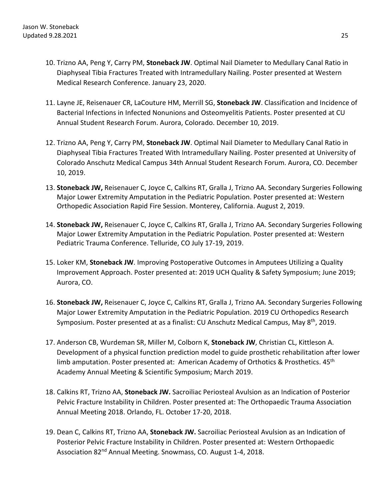- 10. Trizno AA, Peng Y, Carry PM, **Stoneback JW**. Optimal Nail Diameter to Medullary Canal Ratio in Diaphyseal Tibia Fractures Treated with Intramedullary Nailing. Poster presented at Western Medical Research Conference. January 23, 2020.
- 11. Layne JE, Reisenauer CR, LaCouture HM, Merrill SG, **Stoneback JW**. Classification and Incidence of Bacterial Infections in Infected Nonunions and Osteomyelitis Patients. Poster presented at CU Annual Student Research Forum. Aurora, Colorado. December 10, 2019.
- 12. Trizno AA, Peng Y, Carry PM, **Stoneback JW**. Optimal Nail Diameter to Medullary Canal Ratio in Diaphyseal Tibia Fractures Treated With Intramedullary Nailing. Poster presented at University of Colorado Anschutz Medical Campus 34th Annual Student Research Forum. Aurora, CO. December 10, 2019.
- 13. **Stoneback JW,** Reisenauer C, Joyce C, Calkins RT, Gralla J, Trizno AA. Secondary Surgeries Following Major Lower Extremity Amputation in the Pediatric Population. Poster presented at: Western Orthopedic Association Rapid Fire Session. Monterey, California. August 2, 2019.
- 14. **Stoneback JW,** Reisenauer C, Joyce C, Calkins RT, Gralla J, Trizno AA. Secondary Surgeries Following Major Lower Extremity Amputation in the Pediatric Population. Poster presented at: Western Pediatric Trauma Conference. Telluride, CO July 17-19, 2019.
- 15. Loker KM, **Stoneback JW**. Improving Postoperative Outcomes in Amputees Utilizing a Quality Improvement Approach. Poster presented at: 2019 UCH Quality & Safety Symposium; June 2019; Aurora, CO.
- 16. **Stoneback JW,** Reisenauer C, Joyce C, Calkins RT, Gralla J, Trizno AA. Secondary Surgeries Following Major Lower Extremity Amputation in the Pediatric Population. 2019 CU Orthopedics Research Symposium. Poster presented at as a finalist: CU Anschutz Medical Campus, May 8<sup>th</sup>, 2019.
- 17. Anderson CB, Wurdeman SR, Miller M, Colborn K, **Stoneback JW**, Christian CL, Kittleson A. Development of a physical function prediction model to guide prosthetic rehabilitation after lower limb amputation. Poster presented at: American Academy of Orthotics & Prosthetics. 45<sup>th</sup> Academy Annual Meeting & Scientific Symposium; March 2019.
- 18. Calkins RT, Trizno AA, **Stoneback JW.** Sacroiliac Periosteal Avulsion as an Indication of Posterior Pelvic Fracture Instability in Children. Poster presented at: The Orthopaedic Trauma Association Annual Meeting 2018. Orlando, FL. October 17-20, 2018.
- 19. Dean C, Calkins RT, Trizno AA, **Stoneback JW.** Sacroiliac Periosteal Avulsion as an Indication of Posterior Pelvic Fracture Instability in Children. Poster presented at: Western Orthopaedic Association 82<sup>nd</sup> Annual Meeting. Snowmass, CO. August 1-4, 2018.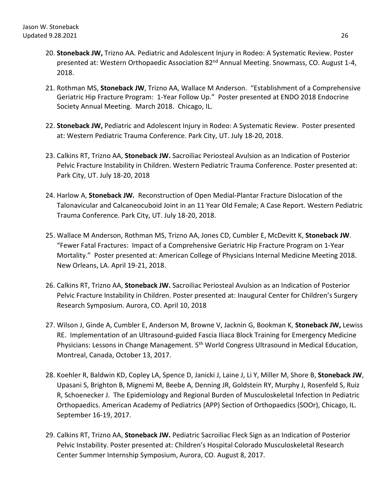- 20. **Stoneback JW,** Trizno AA. Pediatric and Adolescent Injury in Rodeo: A Systematic Review. Poster presented at: Western Orthopaedic Association 82<sup>nd</sup> Annual Meeting. Snowmass, CO. August 1-4, 2018.
- 21. Rothman MS, **Stoneback JW**, Trizno AA, Wallace M Anderson. "Establishment of a Comprehensive Geriatric Hip Fracture Program: 1-Year Follow Up." Poster presented at ENDO 2018 Endocrine Society Annual Meeting. March 2018. Chicago, IL.
- 22. **Stoneback JW,** Pediatric and Adolescent Injury in Rodeo: A Systematic Review. Poster presented at: Western Pediatric Trauma Conference. Park City, UT. July 18-20, 2018.
- 23. Calkins RT, Trizno AA, **Stoneback JW.** Sacroiliac Periosteal Avulsion as an Indication of Posterior Pelvic Fracture Instability in Children. Western Pediatric Trauma Conference. Poster presented at: Park City, UT. July 18-20, 2018
- 24. Harlow A, **Stoneback JW.** Reconstruction of Open Medial-Plantar Fracture Dislocation of the Talonavicular and Calcaneocuboid Joint in an 11 Year Old Female; A Case Report. Western Pediatric Trauma Conference. Park City, UT. July 18-20, 2018.
- 25. Wallace M Anderson, Rothman MS, Trizno AA, Jones CD, Cumbler E, McDevitt K, **Stoneback JW**. "Fewer Fatal Fractures: Impact of a Comprehensive Geriatric Hip Fracture Program on 1-Year Mortality." Poster presented at: American College of Physicians Internal Medicine Meeting 2018. New Orleans, LA. April 19-21, 2018.
- 26. Calkins RT, Trizno AA, **Stoneback JW.** Sacroiliac Periosteal Avulsion as an Indication of Posterior Pelvic Fracture Instability in Children. Poster presented at: Inaugural Center for Children's Surgery Research Symposium. Aurora, CO. April 10, 2018
- 27. Wilson J, Ginde A, Cumbler E, Anderson M, Browne V, Jacknin G, Bookman K, **Stoneback JW,** Lewiss RE. Implementation of an Ultrasound-guided Fascia Iliaca Block Training for Emergency Medicine Physicians: Lessons in Change Management. 5<sup>th</sup> World Congress Ultrasound in Medical Education, Montreal, Canada, October 13, 2017.
- 28. Koehler R, Baldwin KD, Copley LA, Spence D, Janicki J, Laine J, Li Y, Miller M, Shore B, **Stoneback JW**, Upasani S, Brighton B, Mignemi M, Beebe A, Denning JR, Goldstein RY, Murphy J, Rosenfeld S, Ruiz R, Schoenecker J. The Epidemiology and Regional Burden of Musculoskeletal Infection In Pediatric Orthopaedics. American Academy of Pediatrics (APP) Section of Orthopaedics (SOOr), Chicago, IL. September 16-19, 2017.
- 29. Calkins RT, Trizno AA, **Stoneback JW.** Pediatric Sacroiliac Fleck Sign as an Indication of Posterior Pelvic Instability. Poster presented at: Children's Hospital Colorado Musculoskeletal Research Center Summer Internship Symposium, Aurora, CO. August 8, 2017.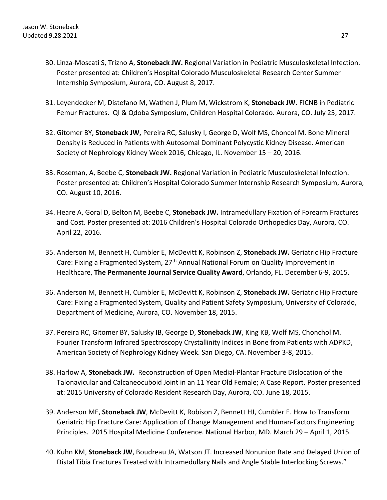- 30. Linza-Moscati S, Trizno A, **Stoneback JW.** Regional Variation in Pediatric Musculoskeletal Infection. Poster presented at: Children's Hospital Colorado Musculoskeletal Research Center Summer Internship Symposium, Aurora, CO. August 8, 2017.
- 31. Leyendecker M, Distefano M, Wathen J, Plum M, Wickstrom K, **Stoneback JW.** FICNB in Pediatric Femur Fractures. QI & Qdoba Symposium, Children Hospital Colorado. Aurora, CO. July 25, 2017.
- 32. Gitomer BY, **Stoneback JW,** Pereira RC, Salusky I, George D, Wolf MS, Choncol M. Bone Mineral Density is Reduced in Patients with Autosomal Dominant Polycystic Kidney Disease. American Society of Nephrology Kidney Week 2016, Chicago, IL. November 15 – 20, 2016.
- 33. Roseman, A, Beebe C, **Stoneback JW.** Regional Variation in Pediatric Musculoskeletal Infection. Poster presented at: Children's Hospital Colorado Summer Internship Research Symposium, Aurora, CO. August 10, 2016.
- 34. Heare A, Goral D, Belton M, Beebe C, **Stoneback JW.** Intramedullary Fixation of Forearm Fractures and Cost. Poster presented at: 2016 Children's Hospital Colorado Orthopedics Day, Aurora, CO. April 22, 2016.
- 35. Anderson M, Bennett H, Cumbler E, McDevitt K, Robinson Z, **Stoneback JW.** Geriatric Hip Fracture Care: Fixing a Fragmented System, 27<sup>th</sup> Annual National Forum on Quality Improvement in Healthcare, **The Permanente Journal Service Quality Award**, Orlando, FL. December 6-9, 2015.
- 36. Anderson M, Bennett H, Cumbler E, McDevitt K, Robinson Z, **Stoneback JW.** Geriatric Hip Fracture Care: Fixing a Fragmented System, Quality and Patient Safety Symposium, University of Colorado, Department of Medicine, Aurora, CO. November 18, 2015.
- 37. Pereira RC, Gitomer BY, Salusky IB, George D, **Stoneback JW**, King KB, Wolf MS, Chonchol M. Fourier Transform Infrared Spectroscopy Crystallinity Indices in Bone from Patients with ADPKD, American Society of Nephrology Kidney Week. San Diego, CA. November 3-8, 2015.
- 38. Harlow A, **Stoneback JW.** Reconstruction of Open Medial-Plantar Fracture Dislocation of the Talonavicular and Calcaneocuboid Joint in an 11 Year Old Female; A Case Report. Poster presented at: 2015 University of Colorado Resident Research Day, Aurora, CO. June 18, 2015.
- 39. Anderson ME, **Stoneback JW**, McDevitt K, Robison Z, Bennett HJ, Cumbler E. How to Transform Geriatric Hip Fracture Care: Application of Change Management and Human-Factors Engineering Principles. 2015 Hospital Medicine Conference. National Harbor, MD. March 29 – April 1, 2015.
- 40. Kuhn KM, **Stoneback JW**, Boudreau JA, Watson JT. Increased Nonunion Rate and Delayed Union of Distal Tibia Fractures Treated with Intramedullary Nails and Angle Stable Interlocking Screws."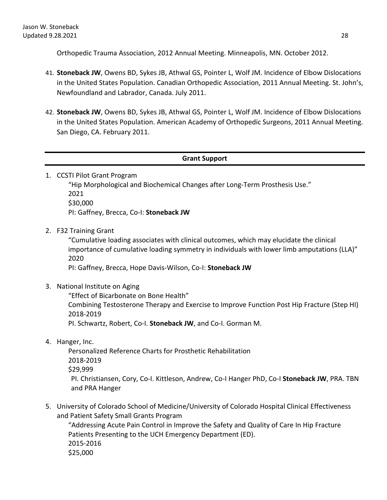Orthopedic Trauma Association, 2012 Annual Meeting. Minneapolis, MN. October 2012.

- 41. **Stoneback JW**, Owens BD, Sykes JB, Athwal GS, Pointer L, Wolf JM. Incidence of Elbow Dislocations in the United States Population. Canadian Orthopedic Association, 2011 Annual Meeting. St. John's, Newfoundland and Labrador, Canada. July 2011.
- 42. **Stoneback JW**, Owens BD, Sykes JB, Athwal GS, Pointer L, Wolf JM. Incidence of Elbow Dislocations in the United States Population. American Academy of Orthopedic Surgeons, 2011 Annual Meeting. San Diego, CA. February 2011.

## **Grant Support**

1. CCSTI Pilot Grant Program

"Hip Morphological and Biochemical Changes after Long-Term Prosthesis Use." 2021 \$30,000 PI: Gaffney, Brecca, Co-I: **Stoneback JW**

2. F32 Training Grant

"Cumulative loading associates with clinical outcomes, which may elucidate the clinical importance of cumulative loading symmetry in individuals with lower limb amputations (LLA)" 2020

PI: Gaffney, Brecca, Hope Davis-Wilson, Co-I: **Stoneback JW**

3. National Institute on Aging

"Effect of Bicarbonate on Bone Health"

Combining Testosterone Therapy and Exercise to Improve Function Post Hip Fracture (Step HI) 2018-2019

PI. Schwartz, Robert, Co-I. **Stoneback JW**, and Co-I. Gorman M.

4. Hanger, Inc.

Personalized Reference Charts for Prosthetic Rehabilitation 2018-2019 \$29,999 PI. Christiansen, Cory, Co-I. Kittleson, Andrew, Co-I Hanger PhD, Co-I **Stoneback JW**, PRA. TBN and PRA Hanger

5. University of Colorado School of Medicine/University of Colorado Hospital Clinical Effectiveness and Patient Safety Small Grants Program

"Addressing Acute Pain Control in Improve the Safety and Quality of Care In Hip Fracture Patients Presenting to the UCH Emergency Department (ED). 2015-2016 \$25,000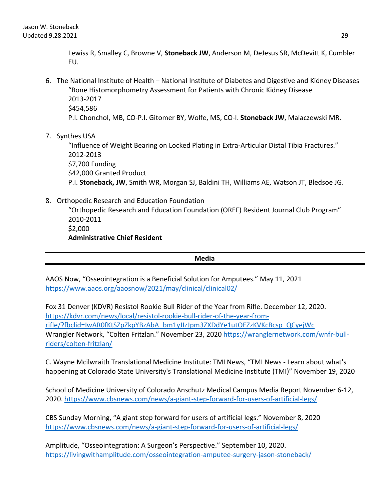Lewiss R, Smalley C, Browne V, **Stoneback JW**, Anderson M, DeJesus SR, McDevitt K, Cumbler EU.

- 6. The National Institute of Health National Institute of Diabetes and Digestive and Kidney Diseases "Bone Histomorphometry Assessment for Patients with Chronic Kidney Disease 2013-2017 \$454,586 P.I. Chonchol, MB, CO-P.I. Gitomer BY, Wolfe, MS, CO-I. **Stoneback JW**, Malaczewski MR.
- 7. Synthes USA

"Influence of Weight Bearing on Locked Plating in Extra-Articular Distal Tibia Fractures." 2012-2013 \$7,700 Funding \$42,000 Granted Product P.I. **Stoneback, JW**, Smith WR, Morgan SJ, Baldini TH, Williams AE, Watson JT, Bledsoe JG.

8. Orthopedic Research and Education Foundation

"Orthopedic Research and Education Foundation (OREF) Resident Journal Club Program" 2010-2011 \$2,000 **Administrative Chief Resident**

**Media**

AAOS Now, "Osseointegration is a Beneficial Solution for Amputees." May 11, 2021 <https://www.aaos.org/aaosnow/2021/may/clinical/clinical02/>

Fox 31 Denver (KDVR) Resistol Rookie Bull Rider of the Year from Rifle. December 12, 2020. [https://kdvr.com/news/local/resistol-rookie-bull-rider-of-the-year-from](https://kdvr.com/news/local/resistol-rookie-bull-rider-of-the-year-from-rifle/?fbclid=IwAR0fKtSZpZkpYBzAbA_bm1yJIzJpm3ZXDdYe1utOEZzKVKcBcsp_QCyejWc)[rifle/?fbclid=IwAR0fKtSZpZkpYBzAbA\\_bm1yJIzJpm3ZXDdYe1utOEZzKVKcBcsp\\_QCyejWc](https://kdvr.com/news/local/resistol-rookie-bull-rider-of-the-year-from-rifle/?fbclid=IwAR0fKtSZpZkpYBzAbA_bm1yJIzJpm3ZXDdYe1utOEZzKVKcBcsp_QCyejWc) Wrangler Network, "Colten Fritzlan." November 23, 2020 [https://wranglernetwork.com/wnfr-bull](https://wranglernetwork.com/wnfr-bull-riders/colten-fritzlan/)[riders/colten-fritzlan/](https://wranglernetwork.com/wnfr-bull-riders/colten-fritzlan/)

C. Wayne Mcilwraith Translational Medicine Institute: TMI News, "TMI News - Learn about what's happening at Colorado State University's Translational Medicine Institute (TMI)" November 19, 2020

School of Medicine University of Colorado Anschutz Medical Campus Media Report November 6-12, 2020. <https://www.cbsnews.com/news/a-giant-step-forward-for-users-of-artificial-legs/>

CBS Sunday Morning, "A giant step forward for users of artificial legs." November 8, 2020 <https://www.cbsnews.com/news/a-giant-step-forward-for-users-of-artificial-legs/>

Amplitude, "Osseointegration: A Surgeon's Perspective." September 10, 2020. <https://livingwithamplitude.com/osseointegration-amputee-surgery-jason-stoneback/>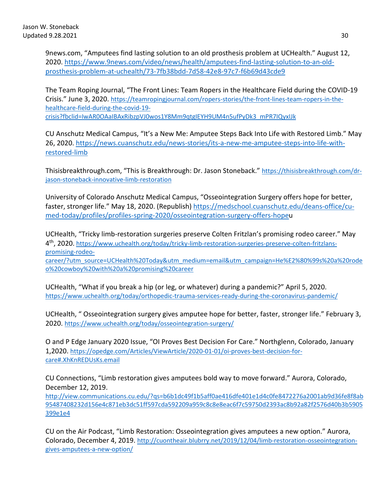9news.com, "Amputees find lasting solution to an old prosthesis problem at UCHealth." August 12, 2020. [https://www.9news.com/video/news/health/amputees-find-lasting-solution-to-an-old](https://www.9news.com/video/news/health/amputees-find-lasting-solution-to-an-old-prosthesis-problem-at-uchealth/73-7fb38bdd-7d58-42e8-97c7-f6b69d43cde9)[prosthesis-problem-at-uchealth/73-7fb38bdd-7d58-42e8-97c7-f6b69d43cde9](https://www.9news.com/video/news/health/amputees-find-lasting-solution-to-an-old-prosthesis-problem-at-uchealth/73-7fb38bdd-7d58-42e8-97c7-f6b69d43cde9)

The Team Roping Journal, "The Front Lines: Team Ropers in the Healthcare Field during the COVID-19 Crisis." June 3, 2020. [https://teamropingjournal.com/ropers-stories/the-front-lines-team-ropers-in-the](https://teamropingjournal.com/ropers-stories/the-front-lines-team-ropers-in-the-healthcare-field-during-the-covid-19-crisis?fbclid=IwAR0OAaIBAxRibzpVJ0wos1Y8Mm9qtgIEYH9UM4n5ufPyDk3_mPR7IQyxIJk)[healthcare-field-during-the-covid-19](https://teamropingjournal.com/ropers-stories/the-front-lines-team-ropers-in-the-healthcare-field-during-the-covid-19-crisis?fbclid=IwAR0OAaIBAxRibzpVJ0wos1Y8Mm9qtgIEYH9UM4n5ufPyDk3_mPR7IQyxIJk) [crisis?fbclid=IwAR0OAaIBAxRibzpVJ0wos1Y8Mm9qtgIEYH9UM4n5ufPyDk3\\_mPR7IQyxIJk](https://teamropingjournal.com/ropers-stories/the-front-lines-team-ropers-in-the-healthcare-field-during-the-covid-19-crisis?fbclid=IwAR0OAaIBAxRibzpVJ0wos1Y8Mm9qtgIEYH9UM4n5ufPyDk3_mPR7IQyxIJk)

CU Anschutz Medical Campus, "It's a New Me: Amputee Steps Back Into Life with Restored Limb." May 26, 2020. [https://news.cuanschutz.edu/news-stories/its-a-new-me-amputee-steps-into-life-with](https://news.cuanschutz.edu/news-stories/its-a-new-me-amputee-steps-into-life-with-restored-limb)[restored-limb](https://news.cuanschutz.edu/news-stories/its-a-new-me-amputee-steps-into-life-with-restored-limb)

Thisisbreakthrough.com, "This is Breakthrough: Dr. Jason Stoneback." [https://thisisbreakthrough.com/dr](https://thisisbreakthrough.com/dr-jason-stoneback-innovative-limb-restoration)[jason-stoneback-innovative-limb-restoration](https://thisisbreakthrough.com/dr-jason-stoneback-innovative-limb-restoration)

University of Colorado Anschutz Medical Campus, "Osseointegration Surgery offers hope for better, faster, stronger life." May 18, 2020. (Republish) [https://medschool.cuanschutz.edu/deans-office/cu](https://medschool.cuanschutz.edu/deans-office/cu-med-today/profiles/profiles-spring-2020/osseointegration-surgery-offers-hope)[med-today/profiles/profiles-spring-2020/osseointegration-surgery-offers-hopeu](https://medschool.cuanschutz.edu/deans-office/cu-med-today/profiles/profiles-spring-2020/osseointegration-surgery-offers-hope)

UCHealth, "Tricky limb-restoration surgeries preserve Colten Fritzlan's promising rodeo career." May 4th, 2020. [https://www.uchealth.org/today/tricky-limb-restoration-surgeries-preserve-colten-fritzlans](https://www.uchealth.org/today/tricky-limb-restoration-surgeries-preserve-colten-fritzlans-promising-rodeo-career/?utm_source=UCHealth%20Today&utm_medium=email&utm_campaign=He%E2%80%99s%20a%20rodeo%20cowboy%20with%20a%20promising%20career)[promising-rodeo-](https://www.uchealth.org/today/tricky-limb-restoration-surgeries-preserve-colten-fritzlans-promising-rodeo-career/?utm_source=UCHealth%20Today&utm_medium=email&utm_campaign=He%E2%80%99s%20a%20rodeo%20cowboy%20with%20a%20promising%20career)

[career/?utm\\_source=UCHealth%20Today&utm\\_medium=email&utm\\_campaign=He%E2%80%99s%20a%20rode](https://www.uchealth.org/today/tricky-limb-restoration-surgeries-preserve-colten-fritzlans-promising-rodeo-career/?utm_source=UCHealth%20Today&utm_medium=email&utm_campaign=He%E2%80%99s%20a%20rodeo%20cowboy%20with%20a%20promising%20career) [o%20cowboy%20with%20a%20promising%20career](https://www.uchealth.org/today/tricky-limb-restoration-surgeries-preserve-colten-fritzlans-promising-rodeo-career/?utm_source=UCHealth%20Today&utm_medium=email&utm_campaign=He%E2%80%99s%20a%20rodeo%20cowboy%20with%20a%20promising%20career)

UCHealth, "What if you break a hip (or leg, or whatever) during a pandemic?" April 5, 2020. <https://www.uchealth.org/today/orthopedic-trauma-services-ready-during-the-coronavirus-pandemic/>

UCHealth, " Osseointegration surgery gives amputee hope for better, faster, stronger life." February 3, 2020.<https://www.uchealth.org/today/osseointegration-surgery/>

O and P Edge January 2020 Issue, "OI Proves Best Decision For Care." Northglenn, Colorado, January 1,2020. [https://opedge.com/Articles/ViewArticle/2020-01-01/oi-proves-best-decision-for](https://opedge.com/Articles/ViewArticle/2020-01-01/oi-proves-best-decision-for-care#.XhKnREDUsKs.email)[care#.XhKnREDUsKs.email](https://opedge.com/Articles/ViewArticle/2020-01-01/oi-proves-best-decision-for-care#.XhKnREDUsKs.email)

CU Connections, "Limb restoration gives amputees bold way to move forward." Aurora, Colorado, December 12, 2019.

[http://view.communications.cu.edu/?qs=b6b1dc49f1b5aff0ae416dfe401e1d4c0fe8472276a2001ab9d36fe8f8ab](http://view.communications.cu.edu/?qs=b6b1dc49f1b5aff0ae416dfe401e1d4c0fe8472276a2001ab9d36fe8f8ab95487408232d156e4c871eb3dc51ff597cda592209a959c8c8e8eac6f7c59750d2393ac8b92a82f2576d40b3b5905399e1e4) [95487408232d156e4c871eb3dc51ff597cda592209a959c8c8e8eac6f7c59750d2393ac8b92a82f2576d40b3b5905](http://view.communications.cu.edu/?qs=b6b1dc49f1b5aff0ae416dfe401e1d4c0fe8472276a2001ab9d36fe8f8ab95487408232d156e4c871eb3dc51ff597cda592209a959c8c8e8eac6f7c59750d2393ac8b92a82f2576d40b3b5905399e1e4) [399e1e4](http://view.communications.cu.edu/?qs=b6b1dc49f1b5aff0ae416dfe401e1d4c0fe8472276a2001ab9d36fe8f8ab95487408232d156e4c871eb3dc51ff597cda592209a959c8c8e8eac6f7c59750d2393ac8b92a82f2576d40b3b5905399e1e4)

CU on the Air Podcast, "Limb Restoration: Osseointegration gives amputees a new option." Aurora, Colorado, December 4, 2019. [http://cuontheair.blubrry.net/2019/12/04/limb-restoration-osseointegration](http://cuontheair.blubrry.net/2019/12/04/limb-restoration-osseointegration-gives-amputees-a-new-option/)[gives-amputees-a-new-option/](http://cuontheair.blubrry.net/2019/12/04/limb-restoration-osseointegration-gives-amputees-a-new-option/)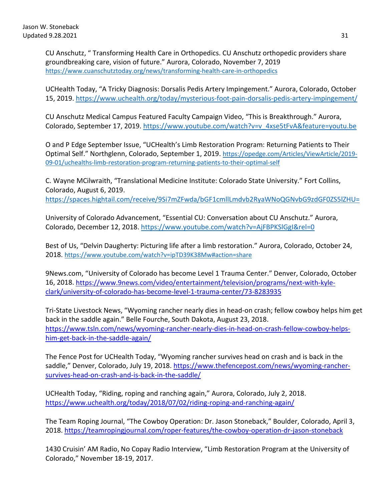CU Anschutz, " Transforming Health Care in Orthopedics. CU Anschutz orthopedic providers share groundbreaking care, vision of future." Aurora, Colorado, November 7, 2019 <https://www.cuanschutztoday.org/news/transforming-health-care-in-orthopedics>

UCHealth Today, "A Tricky Diagnosis: Dorsalis Pedis Artery Impingement." Aurora, Colorado, October 15, 2019.<https://www.uchealth.org/today/mysterious-foot-pain-dorsalis-pedis-artery-impingement/>

CU Anschutz Medical Campus Featured Faculty Campaign Video, "This is Breakthrough." Aurora, Colorado, September 17, 2019. [https://www.youtube.com/watch?v=v\\_4xse5tFvA&feature=youtu.be](https://www.youtube.com/watch?v=v_4xse5tFvA&feature=youtu.be)

O and P Edge September Issue, "UCHealth's Limb Restoration Program: Returning Patients to Their Optimal Self." Northglenn, Colorado, September 1, 2019. [https://opedge.com/Articles/ViewArticle/2019-](https://opedge.com/Articles/ViewArticle/2019-09-01/uchealths-limb-restoration-program-returning-patients-to-their-optimal-self) [09-01/uchealths-limb-restoration-program-returning-patients-to-their-optimal-self](https://opedge.com/Articles/ViewArticle/2019-09-01/uchealths-limb-restoration-program-returning-patients-to-their-optimal-self)

C. Wayne MCilwraith, "Translational Medicine Institute: Colorado State University." Fort Collins, Colorado, August 6, 2019. <https://spaces.hightail.com/receive/9Si7mZFwda/bGF1cmllLmdvb2RyaWNoQGNvbG9zdGF0ZS5lZHU=>

University of Colorado Advancement, "Essential CU: Conversation about CU Anschutz." Aurora, Colorado, December 12, 2018.<https://www.youtube.com/watch?v=AjFBPKSlGgI&rel=0>

Best of Us, "Delvin Daugherty: Picturing life after a limb restoration." Aurora, Colorado, October 24, 2018.<https://www.youtube.com/watch?v=ipTD39K38Mw#action=share>

9News.com, "University of Colorado has become Level 1 Trauma Center." Denver, Colorado, October 16, 2018. [https://www.9news.com/video/entertainment/television/programs/next-with-kyle](https://www.9news.com/video/entertainment/television/programs/next-with-kyle-clark/university-of-colorado-has-become-level-1-trauma-center/73-8283935)[clark/university-of-colorado-has-become-level-1-trauma-center/73-8283935](https://www.9news.com/video/entertainment/television/programs/next-with-kyle-clark/university-of-colorado-has-become-level-1-trauma-center/73-8283935)

Tri-State Livestock News, "Wyoming rancher nearly dies in head-on crash; fellow cowboy helps him get back in the saddle again." Belle Fourche, South Dakota, August 23, 2018. [https://www.tsln.com/news/wyoming-rancher-nearly-dies-in-head-on-crash-fellow-cowboy-helps](https://www.tsln.com/news/wyoming-rancher-nearly-dies-in-head-on-crash-fellow-cowboy-helps-him-get-back-in-the-saddle-again/)[him-get-back-in-the-saddle-again/](https://www.tsln.com/news/wyoming-rancher-nearly-dies-in-head-on-crash-fellow-cowboy-helps-him-get-back-in-the-saddle-again/)

The Fence Post for UCHealth Today, "Wyoming rancher survives head on crash and is back in the saddle," Denver, Colorado, July 19, 2018. [https://www.thefencepost.com/news/wyoming-rancher](https://www.thefencepost.com/news/wyoming-rancher-survives-head-on-crash-and-is-back-in-the-saddle/)[survives-head-on-crash-and-is-back-in-the-saddle/](https://www.thefencepost.com/news/wyoming-rancher-survives-head-on-crash-and-is-back-in-the-saddle/)

UCHealth Today, "Riding, roping and ranching again," Aurora, Colorado, July 2, 2018. <https://www.uchealth.org/today/2018/07/02/riding-roping-and-ranching-again/>

The Team Roping Journal, "The Cowboy Operation: Dr. Jason Stoneback," Boulder, Colorado, April 3, 2018.<https://teamropingjournal.com/roper-features/the-cowboy-operation-dr-jason-stoneback>

1430 Cruisin' AM Radio, No Copay Radio Interview, "Limb Restoration Program at the University of Colorado," November 18-19, 2017.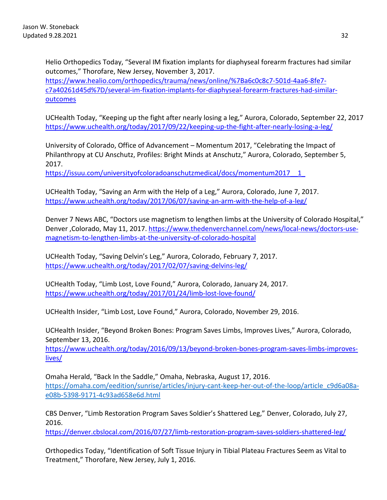Helio Orthopedics Today, "Several IM fixation implants for diaphyseal forearm fractures had similar outcomes," Thorofare, New Jersey, November 3, 2017. [https://www.healio.com/orthopedics/trauma/news/online/%7Ba6c0c8c7-501d-4aa6-8fe7](https://www.healio.com/orthopedics/trauma/news/online/%7Ba6c0c8c7-501d-4aa6-8fe7-c7a40261d45d%7D/several-im-fixation-implants-for-diaphyseal-forearm-fractures-had-similar-outcomes) [c7a40261d45d%7D/several-im-fixation-implants-for-diaphyseal-forearm-fractures-had-similar](https://www.healio.com/orthopedics/trauma/news/online/%7Ba6c0c8c7-501d-4aa6-8fe7-c7a40261d45d%7D/several-im-fixation-implants-for-diaphyseal-forearm-fractures-had-similar-outcomes)**[outcomes](https://www.healio.com/orthopedics/trauma/news/online/%7Ba6c0c8c7-501d-4aa6-8fe7-c7a40261d45d%7D/several-im-fixation-implants-for-diaphyseal-forearm-fractures-had-similar-outcomes)** 

UCHealth Today, "Keeping up the fight after nearly losing a leg," Aurora, Colorado, September 22, 2017 <https://www.uchealth.org/today/2017/09/22/keeping-up-the-fight-after-nearly-losing-a-leg/>

University of Colorado, Office of Advancement – Momentum 2017, "Celebrating the Impact of Philanthropy at CU Anschutz, Profiles: Bright Minds at Anschutz," Aurora, Colorado, September 5, 2017.

https://issuu.com/universityofcoloradoanschutzmedical/docs/momentum2017\_1\_1\_

UCHealth Today, "Saving an Arm with the Help of a Leg," Aurora, Colorado, June 7, 2017. <https://www.uchealth.org/today/2017/06/07/saving-an-arm-with-the-help-of-a-leg/>

Denver 7 News ABC, "Doctors use magnetism to lengthen limbs at the University of Colorado Hospital," Denver ,Colorado, May 11, 2017. [https://www.thedenverchannel.com/news/local-news/doctors-use](https://www.thedenverchannel.com/news/local-news/doctors-use-magnetism-to-lengthen-limbs-at-the-university-of-colorado-hospital)[magnetism-to-lengthen-limbs-at-the-university-of-colorado-hospital](https://www.thedenverchannel.com/news/local-news/doctors-use-magnetism-to-lengthen-limbs-at-the-university-of-colorado-hospital) 

UCHealth Today, "Saving Delvin's Leg," Aurora, Colorado, February 7, 2017. <https://www.uchealth.org/today/2017/02/07/saving-delvins-leg/>

UCHealth Today, "Limb Lost, Love Found," Aurora, Colorado, January 24, 2017. <https://www.uchealth.org/today/2017/01/24/limb-lost-love-found/>

UCHealth Insider, "Limb Lost, Love Found," Aurora, Colorado, November 29, 2016.

UCHealth Insider, "Beyond Broken Bones: Program Saves Limbs, Improves Lives," Aurora, Colorado, September 13, 2016.

[https://www.uchealth.org/today/2016/09/13/beyond-broken-bones-program-saves-limbs-improves](https://www.uchealth.org/today/2016/09/13/beyond-broken-bones-program-saves-limbs-improves-lives/)[lives/](https://www.uchealth.org/today/2016/09/13/beyond-broken-bones-program-saves-limbs-improves-lives/)

Omaha Herald, "Back In the Saddle," Omaha, Nebraska, August 17, 2016. [https://omaha.com/eedition/sunrise/articles/injury-cant-keep-her-out-of-the-loop/article\\_c9d6a08a](https://omaha.com/eedition/sunrise/articles/injury-cant-keep-her-out-of-the-loop/article_c9d6a08a-e08b-5398-9171-4c93ad658e6d.html)[e08b-5398-9171-4c93ad658e6d.html](https://omaha.com/eedition/sunrise/articles/injury-cant-keep-her-out-of-the-loop/article_c9d6a08a-e08b-5398-9171-4c93ad658e6d.html)

CBS Denver, "Limb Restoration Program Saves Soldier's Shattered Leg," Denver, Colorado, July 27, 2016.

<https://denver.cbslocal.com/2016/07/27/limb-restoration-program-saves-soldiers-shattered-leg/>

Orthopedics Today, "Identification of Soft Tissue Injury in Tibial Plateau Fractures Seem as Vital to Treatment," Thorofare, New Jersey, July 1, 2016.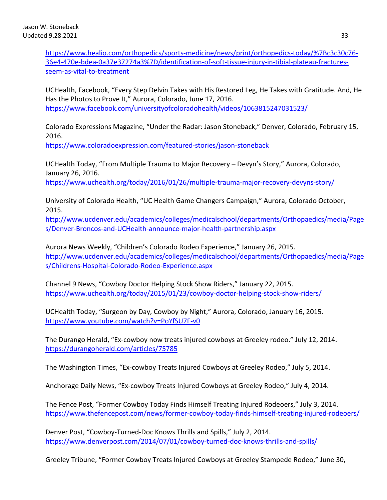[https://www.healio.com/orthopedics/sports-medicine/news/print/orthopedics-today/%7Bc3c30c76-](https://www.healio.com/orthopedics/sports-medicine/news/print/orthopedics-today/%7Bc3c30c76-36e4-470e-bdea-0a37e37274a3%7D/identification-of-soft-tissue-injury-in-tibial-plateau-fractures-seem-as-vital-to-treatment) [36e4-470e-bdea-0a37e37274a3%7D/identification-of-soft-tissue-injury-in-tibial-plateau-fractures](https://www.healio.com/orthopedics/sports-medicine/news/print/orthopedics-today/%7Bc3c30c76-36e4-470e-bdea-0a37e37274a3%7D/identification-of-soft-tissue-injury-in-tibial-plateau-fractures-seem-as-vital-to-treatment)[seem-as-vital-to-treatment](https://www.healio.com/orthopedics/sports-medicine/news/print/orthopedics-today/%7Bc3c30c76-36e4-470e-bdea-0a37e37274a3%7D/identification-of-soft-tissue-injury-in-tibial-plateau-fractures-seem-as-vital-to-treatment)

UCHealth, Facebook, "Every Step Delvin Takes with His Restored Leg, He Takes with Gratitude. And, He Has the Photos to Prove It," Aurora, Colorado, June 17, 2016. <https://www.facebook.com/universityofcoloradohealth/videos/1063815247031523/>

Colorado Expressions Magazine, "Under the Radar: Jason Stoneback," Denver, Colorado, February 15, 2016.

<https://www.coloradoexpression.com/featured-stories/jason-stoneback>

UCHealth Today, "From Multiple Trauma to Major Recovery – Devyn's Story," Aurora, Colorado, January 26, 2016.

<https://www.uchealth.org/today/2016/01/26/multiple-trauma-major-recovery-devyns-story/>

University of Colorado Health, "UC Health Game Changers Campaign," Aurora, Colorado October, 2015.

[http://www.ucdenver.edu/academics/colleges/medicalschool/departments/Orthopaedics/media/Page](http://www.ucdenver.edu/academics/colleges/medicalschool/departments/Orthopaedics/media/Pages/Denver-Broncos-and-UCHealth-announce-major-health-partnership.aspx) [s/Denver-Broncos-and-UCHealth-announce-major-health-partnership.aspx](http://www.ucdenver.edu/academics/colleges/medicalschool/departments/Orthopaedics/media/Pages/Denver-Broncos-and-UCHealth-announce-major-health-partnership.aspx)

Aurora News Weekly, "Children's Colorado Rodeo Experience," January 26, 2015. [http://www.ucdenver.edu/academics/colleges/medicalschool/departments/Orthopaedics/media/Page](http://www.ucdenver.edu/academics/colleges/medicalschool/departments/Orthopaedics/media/Pages/Childrens-Hospital-Colorado-Rodeo-Experience.aspx) [s/Childrens-Hospital-Colorado-Rodeo-Experience.aspx](http://www.ucdenver.edu/academics/colleges/medicalschool/departments/Orthopaedics/media/Pages/Childrens-Hospital-Colorado-Rodeo-Experience.aspx)

Channel 9 News, "Cowboy Doctor Helping Stock Show Riders," January 22, 2015. <https://www.uchealth.org/today/2015/01/23/cowboy-doctor-helping-stock-show-riders/>

UCHealth Today, "Surgeon by Day, Cowboy by Night," Aurora, Colorado, January 16, 2015. <https://www.youtube.com/watch?v=PoYfSU7F-v0>

The Durango Herald, "Ex-cowboy now treats injured cowboys at Greeley rodeo." July 12, 2014. <https://durangoherald.com/articles/75785>

The Washington Times, "Ex-cowboy Treats Injured Cowboys at Greeley Rodeo," July 5, 2014.

Anchorage Daily News, "Ex-cowboy Treats Injured Cowboys at Greeley Rodeo," July 4, 2014.

The Fence Post, "Former Cowboy Today Finds Himself Treating Injured Rodeoers," July 3, 2014. <https://www.thefencepost.com/news/former-cowboy-today-finds-himself-treating-injured-rodeoers/>

Denver Post, "Cowboy-Turned-Doc Knows Thrills and Spills," July 2, 2014. <https://www.denverpost.com/2014/07/01/cowboy-turned-doc-knows-thrills-and-spills/>

Greeley Tribune, "Former Cowboy Treats Injured Cowboys at Greeley Stampede Rodeo," June 30,